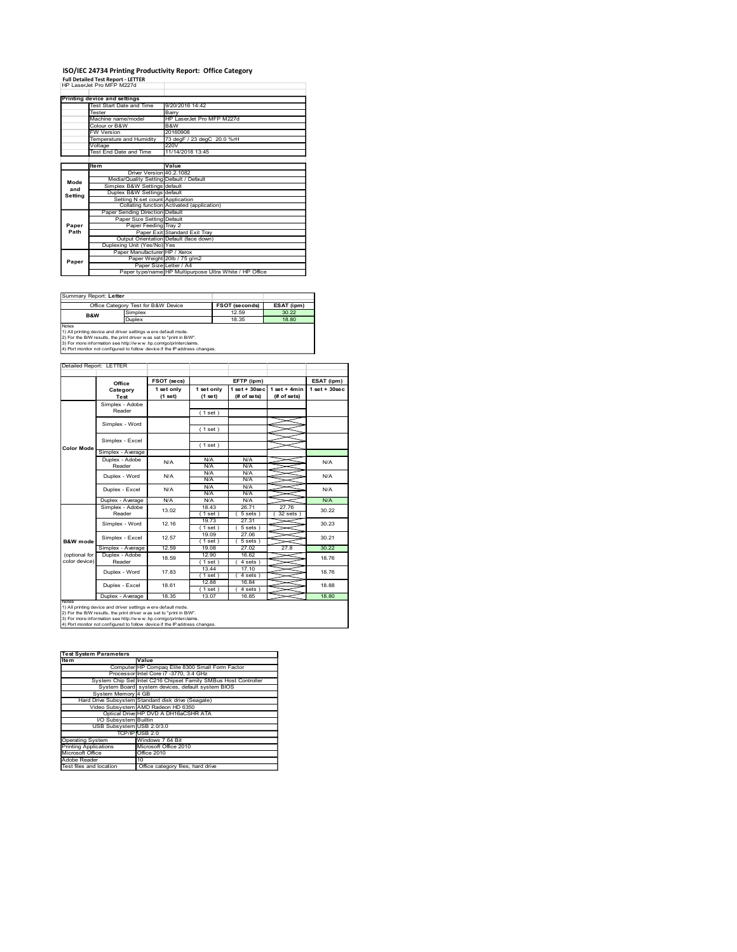## ISO/IEC 24734 Printing Productivity Report: Office Category Full Detailed Test Report - LETTER

|             | ISO/IEC 24734 Printing Productivity Report: Office Category<br><b>Full Detailed Test Report - LETTER</b>                                      |                                            |                             |                                                         |                                          |                  |
|-------------|-----------------------------------------------------------------------------------------------------------------------------------------------|--------------------------------------------|-----------------------------|---------------------------------------------------------|------------------------------------------|------------------|
|             | HP LaserJet Pro MFP M227d<br><b>Printing device and settings</b>                                                                              |                                            |                             |                                                         |                                          |                  |
|             | Test Start Date and Time<br>Tester                                                                                                            | 9/20/2016 14:42<br>Barry                   |                             |                                                         |                                          |                  |
|             | Machine name/model<br>Colour or B&W                                                                                                           | B&W                                        | HP LaserJet Pro MFP M227d   |                                                         |                                          |                  |
|             | FW Version<br>Temperature and Humidity                                                                                                        | 20160908<br>220V                           | 73 degF / 23 degC 20.0 %rH  |                                                         |                                          |                  |
|             | Voltage<br>Test End Date and Time                                                                                                             | 11/14/2018 13:45                           |                             |                                                         |                                          |                  |
|             | Item                                                                                                                                          | Value<br>Driver Version 40.2.1082          |                             |                                                         |                                          |                  |
| Mode<br>and | Media/Quality Setting Default / Default<br>Simplex B&W Settings default<br>Duplex B&W Settings default                                        |                                            |                             |                                                         |                                          |                  |
| Setting     | Setting N set count Application                                                                                                               | Collating function Activated (application) |                             |                                                         |                                          |                  |
| Paper       | Paper Sending Direction Default<br>Paper Size Setting Default                                                                                 | Paper Feeding Tray 2                       |                             |                                                         |                                          |                  |
| Path        | Output Orientation Default (face down)                                                                                                        | Paper Exit Standard Exit Tray              |                             |                                                         |                                          |                  |
|             | Duplexing Unit (Yes/No) Yes                                                                                                                   | Paper Manufacturer   HP / Xerox            |                             |                                                         |                                          |                  |
|             |                                                                                                                                               |                                            | Paper Weight 20lb / 75 g/m2 |                                                         |                                          |                  |
| Paper       |                                                                                                                                               | Paper Size Letter / A4                     |                             | Paper type/name HP Multipurpose Ultra White / HP Office |                                          |                  |
|             |                                                                                                                                               |                                            |                             |                                                         |                                          |                  |
|             | Summary Report: Letter<br>Office Category Test for B&W Device                                                                                 |                                            |                             | <b>FSOT (seconds)</b>                                   | ESAT (ipm)                               |                  |
|             | Simplex<br>B&W<br>Duplex                                                                                                                      |                                            |                             | 12.59<br>18.35                                          | 30.22<br>18.80                           |                  |
| Notes       | 1) All printing device and driver settings w ere default mode.<br>2) For the B/W results, the print driver was set to "print in B/W".         |                                            |                             |                                                         |                                          |                  |
|             | 3) For more information see http://www.hp.com/go/printerclaims.<br>4) Port monitor not configured to follow device if the IP address changes. |                                            |                             |                                                         |                                          |                  |
|             | Detailed Report: LETTER                                                                                                                       |                                            |                             |                                                         |                                          |                  |
|             | Office                                                                                                                                        | FSOT (secs)                                |                             | EFTP (ipm)                                              | $1$ set + $30$ sec $\vert$ 1 set + 4 min | ESAT (ipm)       |
|             | Category<br>Test<br>Simplex - Adobe                                                                                                           | 1 set only<br>(1 set)                      | 1 set only<br>(1 set)       | (# of sets)                                             | (# of sets)                              | $1 set + 30 sec$ |
|             | Reader                                                                                                                                        |                                            | (1 set)                     |                                                         |                                          |                  |
|             | Simplex - Word<br>Simplex - Excel                                                                                                             |                                            | (1 set)                     |                                                         |                                          |                  |

| Summary Report: Letter |                                                                                                                                                                                                          |                       |            |
|------------------------|----------------------------------------------------------------------------------------------------------------------------------------------------------------------------------------------------------|-----------------------|------------|
|                        | Office Category Test for B&W Device                                                                                                                                                                      | <b>FSOT (seconds)</b> | ESAT (ipm) |
| <b>B&amp;W</b>         | Simplex                                                                                                                                                                                                  | 12.59                 | 30.22      |
|                        | Duplex                                                                                                                                                                                                   | 18.35                 | 18.80      |
| Notes                  | 1) All printing device and driver settings w ere default mode.<br>2) For the B/W results, the print driver was set to "print in B/W".<br>3) For more information see http://www.hp.com/go/printerclaims. |                       |            |

|                                                         | Voltage<br>Test End Date and Time                                                                                                                                                                                                                                                      | 220V                                                                    | 11/14/2018 13:45                                |                                                         |                                |                  |
|---------------------------------------------------------|----------------------------------------------------------------------------------------------------------------------------------------------------------------------------------------------------------------------------------------------------------------------------------------|-------------------------------------------------------------------------|-------------------------------------------------|---------------------------------------------------------|--------------------------------|------------------|
|                                                         | ltem                                                                                                                                                                                                                                                                                   | Value                                                                   |                                                 |                                                         |                                |                  |
|                                                         |                                                                                                                                                                                                                                                                                        | Driver Version 40.2.1082<br>Media/Quality Setting Default / Default     |                                                 |                                                         |                                |                  |
| Mode<br>and                                             |                                                                                                                                                                                                                                                                                        | Simplex B&W Settings default<br>Duplex B&W Settings default             |                                                 |                                                         |                                |                  |
| Setting                                                 |                                                                                                                                                                                                                                                                                        | Setting N set count Application                                         |                                                 |                                                         |                                |                  |
|                                                         |                                                                                                                                                                                                                                                                                        | Paper Sending Direction Default                                         | Collating function Activated (application)      |                                                         |                                |                  |
| Paper                                                   |                                                                                                                                                                                                                                                                                        | Paper Size Setting Default<br>Paper Feeding Tray 2                      |                                                 |                                                         |                                |                  |
| Path                                                    |                                                                                                                                                                                                                                                                                        | Paper Exit Standard Exit Tray<br>Output Orientation Default (face down) |                                                 |                                                         |                                |                  |
|                                                         | Duplexing Unit (Yes/No) Yes                                                                                                                                                                                                                                                            |                                                                         |                                                 |                                                         |                                |                  |
| Paper                                                   |                                                                                                                                                                                                                                                                                        | Paper Manufacturer HP / Xerox<br>Paper Weight 20lb / 75 g/m2            |                                                 |                                                         |                                |                  |
|                                                         |                                                                                                                                                                                                                                                                                        | Paper Size Letter / A4                                                  |                                                 | Paper type/name HP Multipurpose Ultra White / HP Office |                                |                  |
|                                                         |                                                                                                                                                                                                                                                                                        |                                                                         |                                                 |                                                         |                                |                  |
|                                                         | Summary Report: Letter                                                                                                                                                                                                                                                                 |                                                                         |                                                 |                                                         |                                |                  |
|                                                         | Office Category Test for B&W Device<br>Simplex                                                                                                                                                                                                                                         |                                                                         |                                                 | <b>FSOT (seconds)</b><br>12.59                          | ESAT (ipm)<br>30.22            |                  |
|                                                         | B&W<br>Duplex                                                                                                                                                                                                                                                                          |                                                                         |                                                 | 18.35                                                   | 18.80                          |                  |
| Notes                                                   | 1) All printing device and driver settings w ere default mode.<br>2) For the B/W results, the print driver was set to "print in B/W".<br>3) For more information see http://www.hp.com/go/printerclaims.<br>4) Port monitor not configured to follow device if the IP address changes. |                                                                         |                                                 |                                                         |                                |                  |
|                                                         | Detailed Report: LETTER                                                                                                                                                                                                                                                                |                                                                         |                                                 |                                                         |                                |                  |
|                                                         |                                                                                                                                                                                                                                                                                        |                                                                         |                                                 |                                                         |                                | ESAT (ipm)       |
|                                                         | Office                                                                                                                                                                                                                                                                                 | FSOT (secs)<br>1 set only                                               | 1 set only                                      | EFTP (ipm)                                              | 1 set + 30 sec   1 set + 4 min | $1 set + 30 sec$ |
|                                                         | Category<br>Test                                                                                                                                                                                                                                                                       | (1 set)                                                                 | (1 set)                                         | (# of sets)                                             | (# of sets)                    |                  |
|                                                         | Simplex - Adobe<br>Reader                                                                                                                                                                                                                                                              |                                                                         | (1 set)                                         |                                                         |                                |                  |
|                                                         | Simplex - Word                                                                                                                                                                                                                                                                         |                                                                         |                                                 |                                                         |                                |                  |
|                                                         |                                                                                                                                                                                                                                                                                        |                                                                         | (1 set)                                         |                                                         |                                |                  |
| Color Mode                                              | Simplex - Excel                                                                                                                                                                                                                                                                        |                                                                         | (1 set)                                         |                                                         |                                |                  |
|                                                         | Simplex - Average<br>Duplex - Adobe                                                                                                                                                                                                                                                    | N/A                                                                     | N/A                                             | N/A                                                     |                                |                  |
|                                                         | Reader                                                                                                                                                                                                                                                                                 |                                                                         | <b>N/A</b><br>N/A                               | N/A<br>N/A                                              |                                |                  |
|                                                         | Duplex - Word                                                                                                                                                                                                                                                                          | N/A                                                                     | N/A<br>N/A                                      | <b>N/A</b><br><b>N/A</b>                                |                                |                  |
|                                                         | Duplex - Excel                                                                                                                                                                                                                                                                         | N/A                                                                     | N/A                                             | N/A                                                     |                                |                  |
|                                                         | Duplex - Average<br>Simplex - Adobe                                                                                                                                                                                                                                                    | N/A<br>13.02                                                            | N/A<br>18.43                                    | N/A<br>26.71                                            | 27.76                          |                  |
|                                                         | Reader                                                                                                                                                                                                                                                                                 | 12.16                                                                   | (1 set)<br>19.73                                | 5 sets)<br>27.31                                        | (32 sets)                      |                  |
|                                                         | Simplex - Word                                                                                                                                                                                                                                                                         |                                                                         | (1 set)<br>19.09                                | 5 sets<br>27.06                                         |                                |                  |
| <b>B&amp;W</b> mode                                     | Simplex - Excel<br>Simplex - Average                                                                                                                                                                                                                                                   | 12.57<br>12.59                                                          | (1 set)<br>19.08                                | (5 sets)<br>27.02                                       | 27.8                           |                  |
| (optional for                                           | Duplex - Adobe                                                                                                                                                                                                                                                                         | 18.59                                                                   | 12.90                                           | 16.62                                                   |                                |                  |
| color device)                                           | Reader                                                                                                                                                                                                                                                                                 |                                                                         | (1 set)<br>13.44                                | (4 sets)<br>17.10                                       |                                |                  |
|                                                         | Duplex - Word                                                                                                                                                                                                                                                                          | 17.83                                                                   | (1 set)<br>12.88                                | 4 sets)<br>16.84                                        |                                |                  |
|                                                         | Duplex - Excel                                                                                                                                                                                                                                                                         | 18.61                                                                   | (1 set)                                         | 4 sets)                                                 |                                |                  |
|                                                         | Duplex - Average                                                                                                                                                                                                                                                                       | 18.35                                                                   | 13.07                                           | 16.85                                                   |                                |                  |
|                                                         | 1) All printing device and driver settings w ere default mode.<br>2) For the B/W results, the print driver was set to "print in B/W".<br>3) For more information see http://www.hp.com/go/printerclaims.                                                                               |                                                                         |                                                 |                                                         |                                |                  |
|                                                         | 4) Port monitor not configured to follow device if the IP address changes                                                                                                                                                                                                              |                                                                         |                                                 |                                                         |                                |                  |
|                                                         |                                                                                                                                                                                                                                                                                        |                                                                         |                                                 |                                                         |                                |                  |
|                                                         | <b>Test System Parameters</b>                                                                                                                                                                                                                                                          |                                                                         |                                                 |                                                         |                                |                  |
| <b>Item</b>                                             |                                                                                                                                                                                                                                                                                        | Value                                                                   |                                                 |                                                         |                                |                  |
|                                                         |                                                                                                                                                                                                                                                                                        | Processor Intel Core i7 -3770, 3.4 GHz                                  | Computer HP Compaq Elite 8300 Small Form Factor |                                                         |                                |                  |
|                                                         | System Chip Set Intel C216 Chipset Family SMBus Host Controller<br>System Board system devices, default system BIOS                                                                                                                                                                    |                                                                         |                                                 |                                                         |                                |                  |
|                                                         | System Memory 4 GB<br>Hard Drive Subsystem Standard disk drive (Seagate)                                                                                                                                                                                                               |                                                                         |                                                 |                                                         |                                |                  |
|                                                         | Video Subsystem AMD Radeon HD 6350                                                                                                                                                                                                                                                     | Optical Drive HP DVD A DH16aCSHR ATA                                    |                                                 |                                                         |                                |                  |
|                                                         | I/O Subsystem Builtin                                                                                                                                                                                                                                                                  |                                                                         |                                                 |                                                         |                                |                  |
|                                                         | USB Subsystem USB 2.0/3.0<br>TCP/IP USB 2.0                                                                                                                                                                                                                                            |                                                                         |                                                 |                                                         |                                |                  |
| <b>Operating System</b><br><b>Printing Applications</b> |                                                                                                                                                                                                                                                                                        | Windows 7 64 Bit<br>Microsoft Office 2010                               |                                                 |                                                         |                                |                  |
| Microsoft Office                                        |                                                                                                                                                                                                                                                                                        | Office 2010<br>10                                                       |                                                 |                                                         |                                |                  |
| Adobe Reader<br>Test files and location                 |                                                                                                                                                                                                                                                                                        | Office category files, hard drive                                       |                                                 |                                                         |                                |                  |
|                                                         |                                                                                                                                                                                                                                                                                        |                                                                         |                                                 |                                                         |                                |                  |
|                                                         |                                                                                                                                                                                                                                                                                        |                                                                         |                                                 |                                                         |                                |                  |
|                                                         |                                                                                                                                                                                                                                                                                        |                                                                         |                                                 |                                                         |                                |                  |
|                                                         |                                                                                                                                                                                                                                                                                        |                                                                         |                                                 |                                                         |                                |                  |
|                                                         |                                                                                                                                                                                                                                                                                        |                                                                         |                                                 |                                                         |                                |                  |
|                                                         |                                                                                                                                                                                                                                                                                        |                                                                         |                                                 |                                                         |                                |                  |

| <b>Test System Parameters</b> |                                                                 |
|-------------------------------|-----------------------------------------------------------------|
| <b>Item</b>                   | Value                                                           |
|                               | Computer HP Compag Elite 8300 Small Form Factor                 |
|                               | Processor Intel Core i7 -3770, 3.4 GHz                          |
|                               | System Chip Set Intel C216 Chipset Family SMBus Host Controller |
|                               | System Board system devices, default system BIOS                |
| System Memory 4 GB            |                                                                 |
|                               | Hard Drive Subsystem Standard disk drive (Seagate)              |
|                               | Video Subsystem AMD Radeon HD 6350                              |
|                               | Optical Drive HP DVD A DH16aCSHR ATA                            |
| VO Subsystem Builtin          |                                                                 |
| USB Subsystem USB 2.0/3.0     |                                                                 |
|                               | TCP/IPIUSB 2.0                                                  |
| <b>Operating System</b>       | Windows 7 64 Bit                                                |
| <b>Printing Applications</b>  | Microsoft Office 2010                                           |
| Microsoft Office              | Office 2010                                                     |
| Adobe Reader                  | 10                                                              |
| Test files and location       | Office category files, hard drive                               |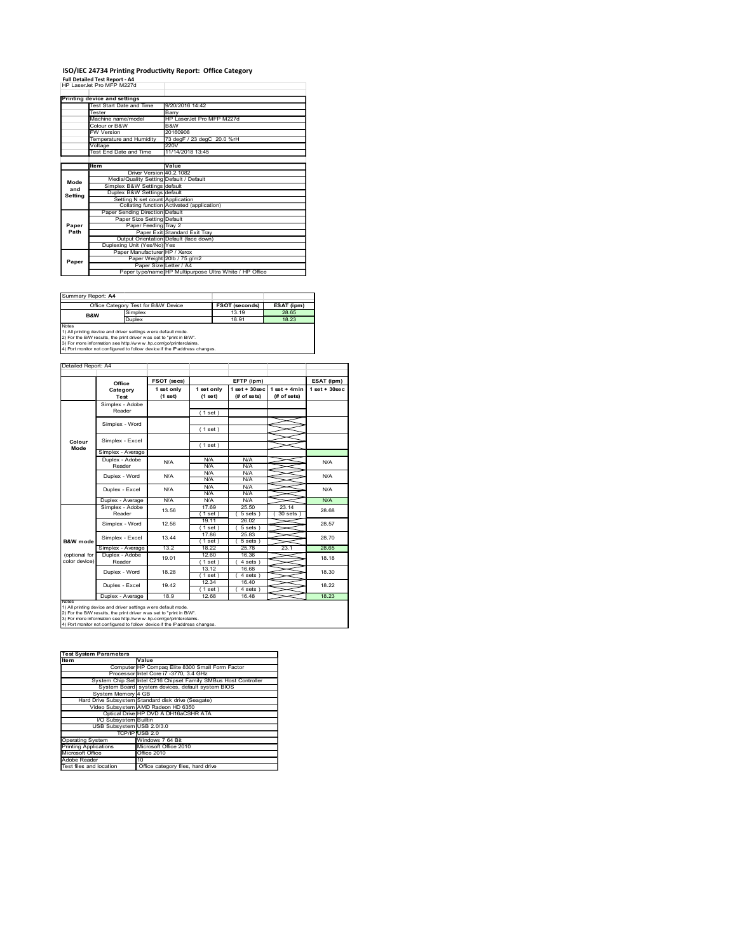# ISO/IEC 24734 Printing Productivity Report: Office Category Full Detailed Test Report - A4

|                     | ISO/IEC 24734 Printing Productivity Report: Office Category                                                                                                                                             |                                                                         |                            |                                                         |                                               |                    |
|---------------------|---------------------------------------------------------------------------------------------------------------------------------------------------------------------------------------------------------|-------------------------------------------------------------------------|----------------------------|---------------------------------------------------------|-----------------------------------------------|--------------------|
|                     | <b>Full Detailed Test Report - A4</b><br>HP LaserJet Pro MFP M227d                                                                                                                                      |                                                                         |                            |                                                         |                                               |                    |
|                     | Printing device and settings<br>Test Start Date and Time<br>Tester                                                                                                                                      | 9/20/2016 14:42<br>Barry                                                |                            |                                                         |                                               |                    |
|                     | Machine name/model<br>Colour or B&W                                                                                                                                                                     | B&W                                                                     | HP LaserJet Pro MFP M227d  |                                                         |                                               |                    |
|                     | FW Version<br>Temperature and Humidity                                                                                                                                                                  | 20160908                                                                | 73 degF / 23 degC 20.0 %rH |                                                         |                                               |                    |
|                     | Voltage<br>Test End Date and Time                                                                                                                                                                       | 220V<br>11/14/2018 13:45                                                |                            |                                                         |                                               |                    |
|                     | Item                                                                                                                                                                                                    | Value<br>Driver Version 40.2.1082                                       |                            |                                                         |                                               |                    |
| Mode<br>and         | Media/Quality Setting Default / Default<br>Simplex B&W Settings default<br>Duplex B&W Settings default                                                                                                  |                                                                         |                            |                                                         |                                               |                    |
| Setting             | Setting N set count Application                                                                                                                                                                         | Collating function Activated (application)                              |                            |                                                         |                                               |                    |
| Paper               | Paper Sending Direction Default<br>Paper Size Setting Default                                                                                                                                           | Paper Feeding Tray 2                                                    |                            |                                                         |                                               |                    |
| Path                |                                                                                                                                                                                                         | Paper Exit Standard Exit Tray<br>Output Orientation Default (face down) |                            |                                                         |                                               |                    |
|                     |                                                                                                                                                                                                         |                                                                         |                            |                                                         |                                               |                    |
|                     | Duplexing Unit (Yes/No) Yes<br>Paper Manufacturer   HP / Xerox                                                                                                                                          | Paper Weight 20lb / 75 g/m2                                             |                            |                                                         |                                               |                    |
| Paper               |                                                                                                                                                                                                         | Paper Size Letter / A4                                                  |                            | Paper type/name HP Multipurpose Ultra White / HP Office |                                               |                    |
|                     |                                                                                                                                                                                                         |                                                                         |                            |                                                         |                                               |                    |
| Summary Report: A4  | Office Category Test for B&W Device                                                                                                                                                                     |                                                                         |                            | <b>FSOT (seconds)</b>                                   | ESAT (ipm)                                    |                    |
| Notes               | Simplex<br>B&W<br>Duplex                                                                                                                                                                                |                                                                         |                            | 13.19<br>18.91                                          | 28.65<br>18.23                                |                    |
|                     | 1) All printing device and driver settings were default mode.<br>2) For the B/W results, the print driver was set to "print in B/W".<br>3) For more information see http://www.hp.com/go/printerclaims. |                                                                         |                            |                                                         |                                               |                    |
| Detailed Report: A4 | 4) Port monitor not configured to follow device if the IP address changes.                                                                                                                              |                                                                         |                            |                                                         |                                               |                    |
|                     | Office                                                                                                                                                                                                  | FSOT (secs)                                                             |                            | EFTP (ipm)                                              |                                               | ESAT (ipm)         |
|                     | Category<br>Test                                                                                                                                                                                        | 1 set only<br>(1 set)                                                   | 1 set only<br>$(1$ set)    | (# of sets)                                             | 1 set + 30 sec   1 set + 4 min<br>(# of sets) | $1$ set + $30$ sec |
|                     | Simplex - Adobe<br>Reader                                                                                                                                                                               |                                                                         | (1 set)                    |                                                         |                                               |                    |
| Colour              | Simplex - Word<br>Simplex - Excel                                                                                                                                                                       |                                                                         | (1 set)                    |                                                         |                                               |                    |

| Summary Report: A4 |                                                                     |                       |            |
|--------------------|---------------------------------------------------------------------|-----------------------|------------|
|                    | Office Category Test for B&W Device                                 | <b>FSOT (seconds)</b> | ESAT (ipm) |
| <b>B&amp;W</b>     | Simplex                                                             | 13 19                 | 28.65      |
|                    | Duplex                                                              | 18.91                 | 18.23      |
| <b>Notes</b>       |                                                                     |                       |            |
|                    | 1) All printing device and driver settings w ere default mode.      |                       |            |
|                    | 2) For the B/W results, the print driver was set to "print in B/W". |                       |            |
|                    | 3) For more information see http://www.bp.com/go/printerclaims      |                       |            |

| Mode<br>and<br>Setting<br>Paper<br>Path<br>Paper<br>Summary Report: A4<br>B&W<br>Notes<br>Detailed Report: A4 | ltem<br>Simplex B&W Settings default<br>Paper Sending Direction Default<br>Office Category Test for B&W Device<br>Simplex<br>Duplex<br>1) All printing device and driver settings w ere default mode.<br>2) For the B/W results, the print driver was set to "print in B/W".<br>3) For more information see http://www.hp.com/go/printerclaims.<br>4) Port monitor not configured to follow device if the IP address changes. | Value<br>Driver Version 40.2.1082<br>Media/Quality Setting Default / Default<br>Duplex B&W Settings default<br>Setting N set count Application<br>Collating function Activated (application)<br>Paper Size Setting Default<br>Paper Feeding Tray 2<br>Paper Exit Standard Exit Tray<br>Output Orientation Default (face down)<br>Paper Weight 20lb / 75 g/m2<br>Paper Size Letter / A4<br>Paper type/name HP Multipurpose Ultra White / HP Office |                       |                                |                                                              |                  |  |  |  |  |  |
|---------------------------------------------------------------------------------------------------------------|-------------------------------------------------------------------------------------------------------------------------------------------------------------------------------------------------------------------------------------------------------------------------------------------------------------------------------------------------------------------------------------------------------------------------------|---------------------------------------------------------------------------------------------------------------------------------------------------------------------------------------------------------------------------------------------------------------------------------------------------------------------------------------------------------------------------------------------------------------------------------------------------|-----------------------|--------------------------------|--------------------------------------------------------------|------------------|--|--|--|--|--|
|                                                                                                               |                                                                                                                                                                                                                                                                                                                                                                                                                               |                                                                                                                                                                                                                                                                                                                                                                                                                                                   |                       |                                |                                                              |                  |  |  |  |  |  |
|                                                                                                               |                                                                                                                                                                                                                                                                                                                                                                                                                               |                                                                                                                                                                                                                                                                                                                                                                                                                                                   |                       |                                |                                                              |                  |  |  |  |  |  |
|                                                                                                               |                                                                                                                                                                                                                                                                                                                                                                                                                               |                                                                                                                                                                                                                                                                                                                                                                                                                                                   |                       |                                |                                                              |                  |  |  |  |  |  |
|                                                                                                               |                                                                                                                                                                                                                                                                                                                                                                                                                               |                                                                                                                                                                                                                                                                                                                                                                                                                                                   |                       |                                |                                                              |                  |  |  |  |  |  |
|                                                                                                               |                                                                                                                                                                                                                                                                                                                                                                                                                               |                                                                                                                                                                                                                                                                                                                                                                                                                                                   |                       |                                |                                                              |                  |  |  |  |  |  |
|                                                                                                               |                                                                                                                                                                                                                                                                                                                                                                                                                               |                                                                                                                                                                                                                                                                                                                                                                                                                                                   |                       |                                |                                                              |                  |  |  |  |  |  |
|                                                                                                               |                                                                                                                                                                                                                                                                                                                                                                                                                               |                                                                                                                                                                                                                                                                                                                                                                                                                                                   |                       |                                |                                                              |                  |  |  |  |  |  |
|                                                                                                               |                                                                                                                                                                                                                                                                                                                                                                                                                               |                                                                                                                                                                                                                                                                                                                                                                                                                                                   |                       |                                | Duplexing Unit (Yes/No) Yes<br>Paper Manufacturer HP / Xerox |                  |  |  |  |  |  |
|                                                                                                               |                                                                                                                                                                                                                                                                                                                                                                                                                               |                                                                                                                                                                                                                                                                                                                                                                                                                                                   |                       |                                |                                                              |                  |  |  |  |  |  |
|                                                                                                               |                                                                                                                                                                                                                                                                                                                                                                                                                               |                                                                                                                                                                                                                                                                                                                                                                                                                                                   |                       |                                |                                                              |                  |  |  |  |  |  |
|                                                                                                               |                                                                                                                                                                                                                                                                                                                                                                                                                               |                                                                                                                                                                                                                                                                                                                                                                                                                                                   |                       |                                |                                                              |                  |  |  |  |  |  |
|                                                                                                               |                                                                                                                                                                                                                                                                                                                                                                                                                               |                                                                                                                                                                                                                                                                                                                                                                                                                                                   |                       |                                |                                                              |                  |  |  |  |  |  |
|                                                                                                               |                                                                                                                                                                                                                                                                                                                                                                                                                               |                                                                                                                                                                                                                                                                                                                                                                                                                                                   |                       |                                |                                                              |                  |  |  |  |  |  |
|                                                                                                               |                                                                                                                                                                                                                                                                                                                                                                                                                               |                                                                                                                                                                                                                                                                                                                                                                                                                                                   |                       | <b>FSOT (seconds)</b><br>13.19 | ESAT (ipm)<br>28.65                                          |                  |  |  |  |  |  |
|                                                                                                               |                                                                                                                                                                                                                                                                                                                                                                                                                               |                                                                                                                                                                                                                                                                                                                                                                                                                                                   |                       | 18.91                          | 18.23                                                        |                  |  |  |  |  |  |
|                                                                                                               |                                                                                                                                                                                                                                                                                                                                                                                                                               |                                                                                                                                                                                                                                                                                                                                                                                                                                                   |                       |                                |                                                              |                  |  |  |  |  |  |
|                                                                                                               |                                                                                                                                                                                                                                                                                                                                                                                                                               |                                                                                                                                                                                                                                                                                                                                                                                                                                                   |                       |                                |                                                              |                  |  |  |  |  |  |
|                                                                                                               |                                                                                                                                                                                                                                                                                                                                                                                                                               |                                                                                                                                                                                                                                                                                                                                                                                                                                                   |                       |                                |                                                              |                  |  |  |  |  |  |
|                                                                                                               |                                                                                                                                                                                                                                                                                                                                                                                                                               |                                                                                                                                                                                                                                                                                                                                                                                                                                                   |                       |                                |                                                              |                  |  |  |  |  |  |
|                                                                                                               | Office                                                                                                                                                                                                                                                                                                                                                                                                                        | FSOT (secs)                                                                                                                                                                                                                                                                                                                                                                                                                                       |                       | EFTP (ipm)                     |                                                              |                  |  |  |  |  |  |
|                                                                                                               | Category                                                                                                                                                                                                                                                                                                                                                                                                                      | 1 set only<br>(1 set)                                                                                                                                                                                                                                                                                                                                                                                                                             | 1 set only<br>(1 set) | (# of sets)                    | 1 set + 30 sec   1 set + 4 min<br>(# of sets)                | $1 set + 30 sec$ |  |  |  |  |  |
|                                                                                                               | Test<br>Simplex - Adobe                                                                                                                                                                                                                                                                                                                                                                                                       |                                                                                                                                                                                                                                                                                                                                                                                                                                                   |                       |                                |                                                              |                  |  |  |  |  |  |
|                                                                                                               | Reader                                                                                                                                                                                                                                                                                                                                                                                                                        |                                                                                                                                                                                                                                                                                                                                                                                                                                                   | (1 set)               |                                |                                                              |                  |  |  |  |  |  |
|                                                                                                               | Simplex - Word                                                                                                                                                                                                                                                                                                                                                                                                                |                                                                                                                                                                                                                                                                                                                                                                                                                                                   | (1 set)               |                                |                                                              |                  |  |  |  |  |  |
|                                                                                                               | Simplex - Excel                                                                                                                                                                                                                                                                                                                                                                                                               |                                                                                                                                                                                                                                                                                                                                                                                                                                                   |                       |                                |                                                              |                  |  |  |  |  |  |
| Colour<br>Mode                                                                                                | Simplex - Average                                                                                                                                                                                                                                                                                                                                                                                                             |                                                                                                                                                                                                                                                                                                                                                                                                                                                   | (1 set)               |                                |                                                              |                  |  |  |  |  |  |
|                                                                                                               | Duplex - Adobe                                                                                                                                                                                                                                                                                                                                                                                                                | N/A                                                                                                                                                                                                                                                                                                                                                                                                                                               | N/A                   | N/A                            |                                                              |                  |  |  |  |  |  |
|                                                                                                               | Reader                                                                                                                                                                                                                                                                                                                                                                                                                        |                                                                                                                                                                                                                                                                                                                                                                                                                                                   | <b>N/A</b><br>N/A     | N/A<br>N/A                     |                                                              |                  |  |  |  |  |  |
|                                                                                                               | Duplex - Word                                                                                                                                                                                                                                                                                                                                                                                                                 | N/A                                                                                                                                                                                                                                                                                                                                                                                                                                               | N/A                   | <b>N/A</b>                     |                                                              |                  |  |  |  |  |  |
|                                                                                                               | Duplex - Excel                                                                                                                                                                                                                                                                                                                                                                                                                | N/A                                                                                                                                                                                                                                                                                                                                                                                                                                               | N/A<br>N/A            | <b>N/A</b><br>N/A              |                                                              |                  |  |  |  |  |  |
|                                                                                                               | Duplex - Average<br>Simplex - Adobe                                                                                                                                                                                                                                                                                                                                                                                           | N/A                                                                                                                                                                                                                                                                                                                                                                                                                                               | N/A<br>17.69          | N/A<br>25.50                   | 23.14                                                        |                  |  |  |  |  |  |
|                                                                                                               | Reader                                                                                                                                                                                                                                                                                                                                                                                                                        | 13.56                                                                                                                                                                                                                                                                                                                                                                                                                                             | (1 set)               | 5 sets)                        | (30 sets)                                                    |                  |  |  |  |  |  |
|                                                                                                               | Simplex - Word                                                                                                                                                                                                                                                                                                                                                                                                                | 12.56                                                                                                                                                                                                                                                                                                                                                                                                                                             | 19.11<br>(1 set)      | 26.02<br>5 sets                |                                                              |                  |  |  |  |  |  |
| <b>B&amp;W</b> mode                                                                                           | Simplex - Excel                                                                                                                                                                                                                                                                                                                                                                                                               | 13.44                                                                                                                                                                                                                                                                                                                                                                                                                                             | 17.86<br>(1 set)      | 25.83<br>(5 sets)              |                                                              |                  |  |  |  |  |  |
|                                                                                                               | Simplex - Average                                                                                                                                                                                                                                                                                                                                                                                                             | 13.2                                                                                                                                                                                                                                                                                                                                                                                                                                              | 18.22                 | 25.78                          | 23.1                                                         |                  |  |  |  |  |  |
| (optional for<br>color device)                                                                                | Duplex - Adobe<br>Reader                                                                                                                                                                                                                                                                                                                                                                                                      | 19.01                                                                                                                                                                                                                                                                                                                                                                                                                                             | 12.60<br>(1 set)      | 16.36<br>(4 sets)              |                                                              |                  |  |  |  |  |  |
|                                                                                                               | Duplex - Word                                                                                                                                                                                                                                                                                                                                                                                                                 | 18.28                                                                                                                                                                                                                                                                                                                                                                                                                                             | 13.12<br>(1 set)      | 16.68<br>4 sets)               |                                                              |                  |  |  |  |  |  |
|                                                                                                               | Duplex - Excel                                                                                                                                                                                                                                                                                                                                                                                                                | 19.42                                                                                                                                                                                                                                                                                                                                                                                                                                             | 12.34                 | 16.40                          |                                                              |                  |  |  |  |  |  |
|                                                                                                               | Duplex - Average                                                                                                                                                                                                                                                                                                                                                                                                              | 18.9                                                                                                                                                                                                                                                                                                                                                                                                                                              | (1 set)<br>12.68      | 4 sets)<br>16.48               |                                                              |                  |  |  |  |  |  |
|                                                                                                               | 1) All printing device and driver settings w ere default mode.                                                                                                                                                                                                                                                                                                                                                                |                                                                                                                                                                                                                                                                                                                                                                                                                                                   |                       |                                |                                                              |                  |  |  |  |  |  |
|                                                                                                               | 2) For the B/W results, the print driver was set to "print in B/W".<br>3) For more information see http://www.hp.com/go/printerclaims.                                                                                                                                                                                                                                                                                        |                                                                                                                                                                                                                                                                                                                                                                                                                                                   |                       |                                |                                                              |                  |  |  |  |  |  |
|                                                                                                               | 4) Port monitor not configured to follow device if the IP address changes                                                                                                                                                                                                                                                                                                                                                     |                                                                                                                                                                                                                                                                                                                                                                                                                                                   |                       |                                |                                                              |                  |  |  |  |  |  |
|                                                                                                               |                                                                                                                                                                                                                                                                                                                                                                                                                               |                                                                                                                                                                                                                                                                                                                                                                                                                                                   |                       |                                |                                                              |                  |  |  |  |  |  |
| <b>Test System Parameters</b>                                                                                 |                                                                                                                                                                                                                                                                                                                                                                                                                               |                                                                                                                                                                                                                                                                                                                                                                                                                                                   |                       |                                |                                                              |                  |  |  |  |  |  |
| <b>Item</b>                                                                                                   |                                                                                                                                                                                                                                                                                                                                                                                                                               | Value                                                                                                                                                                                                                                                                                                                                                                                                                                             |                       |                                |                                                              |                  |  |  |  |  |  |
|                                                                                                               |                                                                                                                                                                                                                                                                                                                                                                                                                               | Computer HP Compaq Elite 8300 Small Form Factor<br>Processor Intel Core i7 -3770, 3.4 GHz                                                                                                                                                                                                                                                                                                                                                         |                       |                                |                                                              |                  |  |  |  |  |  |
|                                                                                                               | System Chip Set Intel C216 Chipset Family SMBus Host Controller<br>System Board system devices, default system BIOS                                                                                                                                                                                                                                                                                                           |                                                                                                                                                                                                                                                                                                                                                                                                                                                   |                       |                                |                                                              |                  |  |  |  |  |  |
|                                                                                                               | System Memory 4 GB                                                                                                                                                                                                                                                                                                                                                                                                            |                                                                                                                                                                                                                                                                                                                                                                                                                                                   |                       |                                |                                                              |                  |  |  |  |  |  |
|                                                                                                               | Hard Drive Subsystem Standard disk drive (Seagate)<br>Video Subsystem AMD Radeon HD 6350                                                                                                                                                                                                                                                                                                                                      |                                                                                                                                                                                                                                                                                                                                                                                                                                                   |                       |                                |                                                              |                  |  |  |  |  |  |
|                                                                                                               | I/O Subsystem Builtin                                                                                                                                                                                                                                                                                                                                                                                                         | Optical Drive HP DVD A DH16aCSHR ATA                                                                                                                                                                                                                                                                                                                                                                                                              |                       |                                |                                                              |                  |  |  |  |  |  |
|                                                                                                               | USB Subsystem USB 2.0/3.0                                                                                                                                                                                                                                                                                                                                                                                                     |                                                                                                                                                                                                                                                                                                                                                                                                                                                   |                       |                                |                                                              |                  |  |  |  |  |  |
| <b>Operating System</b>                                                                                       | TCP/IP USB 2.0                                                                                                                                                                                                                                                                                                                                                                                                                | Windows 7 64 Bit                                                                                                                                                                                                                                                                                                                                                                                                                                  |                       |                                |                                                              |                  |  |  |  |  |  |
| <b>Printing Applications</b><br>Microsoft Office                                                              |                                                                                                                                                                                                                                                                                                                                                                                                                               | Microsoft Office 2010<br>Office 2010                                                                                                                                                                                                                                                                                                                                                                                                              |                       |                                |                                                              |                  |  |  |  |  |  |
| Adobe Reader                                                                                                  | 10                                                                                                                                                                                                                                                                                                                                                                                                                            |                                                                                                                                                                                                                                                                                                                                                                                                                                                   |                       |                                |                                                              |                  |  |  |  |  |  |
| Test files and location                                                                                       |                                                                                                                                                                                                                                                                                                                                                                                                                               | Office category files, hard drive                                                                                                                                                                                                                                                                                                                                                                                                                 |                       |                                |                                                              |                  |  |  |  |  |  |

| <b>Test System Parameters</b> |                                                                 |
|-------------------------------|-----------------------------------------------------------------|
| Ite <sub>m</sub>              | Value                                                           |
|                               | Computer HP Compaq Elite 8300 Small Form Factor                 |
|                               | Processor Intel Core i7 -3770, 3.4 GHz                          |
|                               | System Chip Set Intel C216 Chipset Family SMBus Host Controller |
|                               | System Board system devices, default system BIOS                |
| System Memory 4 GB            |                                                                 |
|                               | Hard Drive Subsystem Standard disk drive (Seagate)              |
|                               | Video Subsystem AMD Radeon HD 6350                              |
|                               | Optical Drive HP DVD A DH16aCSHR ATA                            |
| VO Subsystem Builtin          |                                                                 |
| USB Subsystem USB 2.0/3.0     |                                                                 |
|                               | TCP/IPIUSB 2.0                                                  |
| <b>Operating System</b>       | Windows 7 64 Bit                                                |
| <b>Printing Applications</b>  | Microsoft Office 2010                                           |
| Microsoft Office              | Office 2010                                                     |
| Adobe Reader                  | 10                                                              |
| Test files and location       | Office category files, hard drive                               |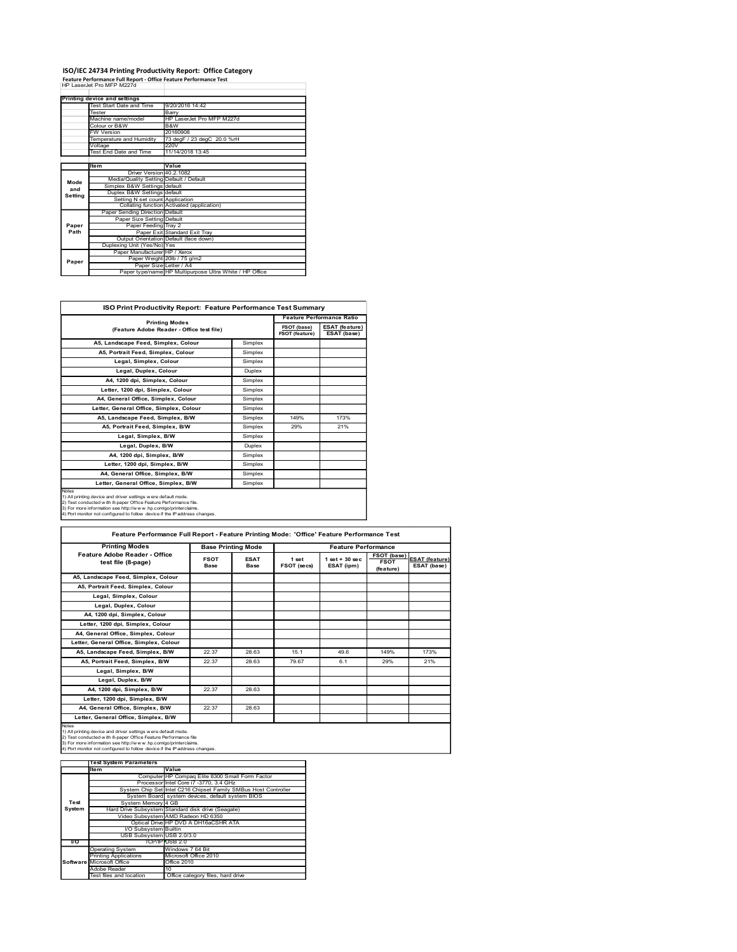## ISO/IEC 24734 Printing Productivity Report: Office Category Feature Performance Full Report - Office Feature Performance Test

|                |                                                                                                | ISO/IEC 24734 Printing Productivity Report: Office Category        |                               |                                                                          |
|----------------|------------------------------------------------------------------------------------------------|--------------------------------------------------------------------|-------------------------------|--------------------------------------------------------------------------|
|                | Feature Performance Full Report - Office Feature Performance Test<br>HP LaserJet Pro MFP M227d |                                                                    |                               |                                                                          |
|                |                                                                                                |                                                                    |                               |                                                                          |
|                |                                                                                                |                                                                    |                               |                                                                          |
|                | <b>Printing device and settings</b><br>Test Start Date and Time                                | 9/20/2016 14:42                                                    |                               |                                                                          |
|                | Tester                                                                                         | Barry                                                              |                               |                                                                          |
|                | Machine name/model                                                                             | HP LaserJet Pro MFP M227d                                          |                               |                                                                          |
|                | Colour or B&W                                                                                  | B&W                                                                |                               |                                                                          |
|                | <b>FW Version</b>                                                                              | 20160908                                                           |                               |                                                                          |
|                | Temperature and Humidity<br>Voltage<br><b>Test End Date and Time</b>                           | 73 degF / 23 degC 20.0 %rH<br>220V<br>11/14/2018 13:45             |                               |                                                                          |
|                |                                                                                                |                                                                    |                               |                                                                          |
|                | Item                                                                                           | Value                                                              |                               |                                                                          |
|                | Driver Version 40.2.1082                                                                       |                                                                    |                               |                                                                          |
| Mode           | Media/Quality Setting Default / Default<br>Simplex B&W Settings default                        |                                                                    |                               |                                                                          |
| and<br>Setting | Duplex B&W Settings default                                                                    |                                                                    |                               |                                                                          |
|                | Setting N set count Application                                                                |                                                                    |                               |                                                                          |
|                | Paper Sending Direction Default                                                                | Collating function Activated (application)                         |                               |                                                                          |
|                | Paper Size Setting Default                                                                     |                                                                    |                               |                                                                          |
| Paper          | Paper Feeding Tray 2                                                                           |                                                                    |                               |                                                                          |
| Path           |                                                                                                | Paper Exit Standard Exit Tray                                      |                               |                                                                          |
|                | Output Orientation Default (face down)<br>Duplexing Unit (Yes/No) Yes                          |                                                                    |                               |                                                                          |
|                | Paper Manufacturer HP / Xerox                                                                  | Paper Weight 20lb / 75 g/m2                                        |                               |                                                                          |
| Paper          |                                                                                                | Paper Size Letter / A4                                             |                               |                                                                          |
|                |                                                                                                | Paper type/name HP Multipurpose Ultra White / HP Office            |                               |                                                                          |
|                |                                                                                                |                                                                    |                               |                                                                          |
|                |                                                                                                | ISO Print Productivity Report: Feature Performance Test Summary    |                               |                                                                          |
|                |                                                                                                | <b>Printing Modes</b><br>(Feature Adobe Reader - Office test file) | FSOT (base)<br>FSOT (feature) | <b>Feature Performance Ratio</b><br><b>ESAT</b> (feature)<br>ESAT (base) |

|                                                         | Test Start Date and Time                                                                                                                      | 9/20/2016 14:42                   |                           |             |                |                                  |             |                       |
|---------------------------------------------------------|-----------------------------------------------------------------------------------------------------------------------------------------------|-----------------------------------|---------------------------|-------------|----------------|----------------------------------|-------------|-----------------------|
|                                                         | Tester                                                                                                                                        | Barry                             |                           |             |                |                                  |             |                       |
|                                                         | Machine name/model                                                                                                                            | HP LaserJet Pro MFP M227d         |                           |             |                |                                  |             |                       |
|                                                         | Colour or B&W                                                                                                                                 | B&W                               |                           |             |                |                                  |             |                       |
|                                                         | <b>FW Version</b>                                                                                                                             | 20160908                          |                           |             |                |                                  |             |                       |
|                                                         | Temperature and Humidity                                                                                                                      | 73 degF / 23 degC 20.0 %rH        |                           |             |                |                                  |             |                       |
|                                                         | Voltage                                                                                                                                       | 220V                              |                           |             |                |                                  |             |                       |
|                                                         | Test End Date and Time                                                                                                                        | 11/14/2018 13:45                  |                           |             |                |                                  |             |                       |
|                                                         |                                                                                                                                               |                                   |                           |             |                |                                  |             |                       |
|                                                         | Item                                                                                                                                          | Value                             |                           |             |                |                                  |             |                       |
|                                                         | Driver Version 40.2.1082<br>Media/Quality Setting Default / Default                                                                           |                                   |                           |             |                |                                  |             |                       |
| Mode                                                    | Simplex B&W Settings default                                                                                                                  |                                   |                           |             |                |                                  |             |                       |
| and                                                     | Duplex B&W Settings default                                                                                                                   |                                   |                           |             |                |                                  |             |                       |
| Setting                                                 | Setting N set count Application                                                                                                               |                                   |                           |             |                |                                  |             |                       |
|                                                         | Collating function Activated (application)                                                                                                    |                                   |                           |             |                |                                  |             |                       |
|                                                         | Paper Sending Direction Default                                                                                                               |                                   |                           |             |                |                                  |             |                       |
|                                                         | Paper Size Setting Default                                                                                                                    |                                   |                           |             |                |                                  |             |                       |
| Paper                                                   | Paper Feeding Tray 2                                                                                                                          |                                   |                           |             |                |                                  |             |                       |
| Path                                                    |                                                                                                                                               | Paper Exit Standard Exit Tray     |                           |             |                |                                  |             |                       |
|                                                         | Output Orientation Default (face down)<br>Duplexing Unit (Yes/No) Yes                                                                         |                                   |                           |             |                |                                  |             |                       |
|                                                         | Paper Manufacturer HP / Xerox                                                                                                                 |                                   |                           |             |                |                                  |             |                       |
|                                                         | Paper Weight 20lb / 75 g/m2                                                                                                                   |                                   |                           |             |                |                                  |             |                       |
| Paper                                                   | Paper Size Letter / A4                                                                                                                        |                                   |                           |             |                |                                  |             |                       |
| Paper type/name HP Multipurpose Ultra White / HP Office |                                                                                                                                               |                                   |                           |             |                |                                  |             |                       |
|                                                         |                                                                                                                                               |                                   |                           |             |                |                                  |             |                       |
|                                                         |                                                                                                                                               |                                   |                           |             |                |                                  |             |                       |
|                                                         |                                                                                                                                               |                                   |                           |             |                |                                  |             |                       |
|                                                         |                                                                                                                                               |                                   |                           |             |                |                                  |             |                       |
|                                                         | ISO Print Productivity Report: Feature Performance Test Summary                                                                               |                                   |                           |             |                |                                  |             |                       |
|                                                         |                                                                                                                                               |                                   |                           |             |                | <b>Feature Performance Ratio</b> |             |                       |
|                                                         |                                                                                                                                               | <b>Printing Modes</b>             |                           |             |                |                                  |             |                       |
|                                                         | (Feature Adobe Reader - Office test file)                                                                                                     |                                   |                           |             | FSOT (base)    | <b>ESAT (feature)</b>            |             |                       |
|                                                         |                                                                                                                                               |                                   |                           |             | FSOT (feature) | ESAT (base)                      |             |                       |
|                                                         | A5, Landscape Feed, Simplex, Colour                                                                                                           |                                   |                           | Simplex     |                |                                  |             |                       |
|                                                         | A5, Portrait Feed, Simplex, Colour                                                                                                            |                                   |                           | Simplex     |                |                                  |             |                       |
|                                                         |                                                                                                                                               |                                   |                           |             |                |                                  |             |                       |
|                                                         | Legal, Simplex, Colour                                                                                                                        |                                   |                           | Simplex     |                |                                  |             |                       |
|                                                         | Legal, Duplex, Colour                                                                                                                         |                                   |                           | Duplex      |                |                                  |             |                       |
|                                                         | A4, 1200 dpi, Simplex, Colour                                                                                                                 |                                   |                           | Simplex     |                |                                  |             |                       |
|                                                         |                                                                                                                                               |                                   |                           | Simplex     |                |                                  |             |                       |
|                                                         |                                                                                                                                               | Letter, 1200 dpi, Simplex, Colour |                           |             |                |                                  |             |                       |
|                                                         |                                                                                                                                               |                                   |                           |             |                |                                  |             |                       |
|                                                         | A4, General Office, Simplex, Colour                                                                                                           |                                   |                           | Simplex     |                |                                  |             |                       |
|                                                         | Letter, General Office, Simplex, Colour                                                                                                       |                                   |                           | Simplex     |                |                                  |             |                       |
|                                                         |                                                                                                                                               |                                   |                           |             |                |                                  |             |                       |
|                                                         | A5, Landscape Feed, Simplex, B/W                                                                                                              |                                   |                           | Simplex     | 149%           | 173%                             |             |                       |
|                                                         | A5, Portrait Feed, Simplex, B/W                                                                                                               |                                   |                           | Simplex     | 29%            | 21%                              |             |                       |
|                                                         | Legal, Simplex, B/W                                                                                                                           |                                   |                           | Simplex     |                |                                  |             |                       |
|                                                         |                                                                                                                                               |                                   |                           |             |                |                                  |             |                       |
|                                                         | Legal, Duplex, B/W                                                                                                                            |                                   |                           | Duplex      |                |                                  |             |                       |
|                                                         | A4, 1200 dpi, Simplex, B/W                                                                                                                    |                                   |                           | Simplex     |                |                                  |             |                       |
|                                                         | Letter, 1200 dpi, Simplex, B/W                                                                                                                |                                   |                           | Simplex     |                |                                  |             |                       |
|                                                         |                                                                                                                                               |                                   |                           |             |                |                                  |             |                       |
|                                                         | A4, General Office, Simplex, B/W                                                                                                              |                                   |                           | Simplex     |                |                                  |             |                       |
|                                                         | Letter, General Office, Simplex, B/W                                                                                                          |                                   |                           | Simplex     |                |                                  |             |                       |
|                                                         |                                                                                                                                               |                                   |                           |             |                |                                  |             |                       |
| Notes                                                   | 1) All printing device and driver settings w ere default mode.                                                                                |                                   |                           |             |                |                                  |             |                       |
|                                                         | 2) Test conducted with 8-paper Office Feature Performance file.                                                                               |                                   |                           |             |                |                                  |             |                       |
|                                                         | 3) For more information see http://www.hp.com/go/printerclaims.<br>4) Port monitor not configured to follow device if the IP address changes. |                                   |                           |             |                |                                  |             |                       |
|                                                         |                                                                                                                                               |                                   |                           |             |                |                                  |             |                       |
|                                                         |                                                                                                                                               |                                   |                           |             |                |                                  |             |                       |
|                                                         | Feature Performance Full Report - Feature Printing Mode: 'Office' Feature Performance Test                                                    |                                   |                           |             |                |                                  |             |                       |
|                                                         |                                                                                                                                               |                                   |                           |             |                |                                  |             |                       |
|                                                         | <b>Printing Modes</b>                                                                                                                         |                                   | <b>Base Printing Mode</b> |             |                | <b>Feature Performance</b>       |             |                       |
|                                                         | Feature Adobe Reader - Office                                                                                                                 |                                   | <b>FSOT</b>               | <b>ESAT</b> | 1 set          | $1 set + 30 sec$                 | FSOT (base) |                       |
|                                                         | test file (8-page)                                                                                                                            |                                   | Base                      | <b>Base</b> | FSOT (secs)    |                                  | <b>FSOT</b> | ESAT (base)           |
|                                                         |                                                                                                                                               |                                   |                           |             |                | ESAT (ipm)                       | (feature)   |                       |
|                                                         | A5, Landscape Feed, Simplex, Colour                                                                                                           |                                   |                           |             |                |                                  |             | <b>ESAT</b> (feature) |

|                                                                                                                                                                                                                                                                                                                                                                                | A5, Landscape Feed, Simplex, Colour                                          |                  |                                                  | Simplex                                  |             |                                                |             |                            |
|--------------------------------------------------------------------------------------------------------------------------------------------------------------------------------------------------------------------------------------------------------------------------------------------------------------------------------------------------------------------------------|------------------------------------------------------------------------------|------------------|--------------------------------------------------|------------------------------------------|-------------|------------------------------------------------|-------------|----------------------------|
| A5, Portrait Feed, Simplex, Colour                                                                                                                                                                                                                                                                                                                                             |                                                                              | Simplex          |                                                  |                                          |             |                                                |             |                            |
|                                                                                                                                                                                                                                                                                                                                                                                | Legal, Simplex, Colour                                                       |                  |                                                  | Simplex                                  |             |                                                |             |                            |
|                                                                                                                                                                                                                                                                                                                                                                                | Legal, Duplex, Colour                                                        |                  |                                                  | Duplex                                   |             |                                                |             |                            |
|                                                                                                                                                                                                                                                                                                                                                                                | A4, 1200 dpi, Simplex, Colour                                                |                  |                                                  | Simplex                                  |             |                                                |             |                            |
|                                                                                                                                                                                                                                                                                                                                                                                | Letter, 1200 dpi, Simplex, Colour                                            |                  |                                                  | Simplex                                  |             |                                                |             |                            |
|                                                                                                                                                                                                                                                                                                                                                                                | A4, General Office, Simplex, Colour                                          |                  |                                                  | Simplex                                  |             |                                                |             |                            |
|                                                                                                                                                                                                                                                                                                                                                                                | Letter, General Office, Simplex, Colour                                      |                  |                                                  | Simplex                                  |             |                                                |             |                            |
|                                                                                                                                                                                                                                                                                                                                                                                | A5, Landscape Feed, Simplex, B/W                                             |                  |                                                  | Simplex                                  | 149%        | 173%                                           |             |                            |
|                                                                                                                                                                                                                                                                                                                                                                                | A5, Portrait Feed, Simplex, B/W                                              |                  |                                                  | Simplex                                  | 29%         | 21%                                            |             |                            |
|                                                                                                                                                                                                                                                                                                                                                                                | Legal, Simplex, B/W                                                          |                  |                                                  | Simplex                                  |             |                                                |             |                            |
|                                                                                                                                                                                                                                                                                                                                                                                | Legal, Duplex, B/W                                                           |                  |                                                  | Duplex                                   |             |                                                |             |                            |
|                                                                                                                                                                                                                                                                                                                                                                                | A4, 1200 dpi, Simplex, B/W                                                   |                  |                                                  | Simplex                                  |             |                                                |             |                            |
|                                                                                                                                                                                                                                                                                                                                                                                | Letter, 1200 dpi, Simplex, B/W                                               |                  |                                                  | Simplex                                  |             |                                                |             |                            |
|                                                                                                                                                                                                                                                                                                                                                                                | A4, General Office, Simplex, B/W                                             |                  |                                                  | Simplex                                  |             |                                                |             |                            |
|                                                                                                                                                                                                                                                                                                                                                                                | Letter, General Office, Simplex, B/W                                         |                  | Simplex                                          |                                          |             |                                                |             |                            |
| Notes                                                                                                                                                                                                                                                                                                                                                                          |                                                                              |                  |                                                  |                                          |             |                                                |             |                            |
| 1) All printing device and driver settings w ere default mode.<br>2) Test conducted with 8-paper Office Feature Performance file.<br>3) For more information see http://www.hp.com/go/printerclaims.<br>4) Port monitor not configured to follow device if the Paddress changes.<br>Feature Performance Full Report - Feature Printing Mode: 'Office' Feature Performance Test |                                                                              |                  |                                                  |                                          |             |                                                |             |                            |
|                                                                                                                                                                                                                                                                                                                                                                                |                                                                              |                  |                                                  |                                          |             |                                                |             |                            |
|                                                                                                                                                                                                                                                                                                                                                                                | <b>Printing Modes</b><br>Feature Adobe Reader - Office<br>test file (8-page) |                  | <b>FSOT</b>                                      | <b>Base Printing Mode</b><br><b>ESAT</b> | 1 set       | <b>Feature Performance</b><br>$1 set + 30 sec$ | <b>FSOT</b> | FSOT (base) ESAT (feature) |
|                                                                                                                                                                                                                                                                                                                                                                                |                                                                              |                  | <b>Base</b>                                      | <b>Base</b>                              | FSOT (secs) | ESAT (ipm)                                     | (feature)   | ESAT (base)                |
|                                                                                                                                                                                                                                                                                                                                                                                | A5, Landscape Feed, Simplex, Colour                                          |                  |                                                  |                                          |             |                                                |             |                            |
|                                                                                                                                                                                                                                                                                                                                                                                | A5, Portrait Feed, Simplex, Colour                                           |                  |                                                  |                                          |             |                                                |             |                            |
|                                                                                                                                                                                                                                                                                                                                                                                | Legal, Simplex, Colour                                                       |                  |                                                  |                                          |             |                                                |             |                            |
|                                                                                                                                                                                                                                                                                                                                                                                | Legal, Duplex, Colour                                                        |                  |                                                  |                                          |             |                                                |             |                            |
|                                                                                                                                                                                                                                                                                                                                                                                | A4, 1200 dpi, Simplex, Colour                                                |                  |                                                  |                                          |             |                                                |             |                            |
|                                                                                                                                                                                                                                                                                                                                                                                | Letter, 1200 dpi, Simplex, Colour                                            |                  |                                                  |                                          |             |                                                |             |                            |
|                                                                                                                                                                                                                                                                                                                                                                                | A4, General Office, Simplex, Colour                                          |                  |                                                  |                                          |             |                                                |             |                            |
|                                                                                                                                                                                                                                                                                                                                                                                | Letter, General Office, Simplex, Colour                                      |                  |                                                  |                                          |             |                                                |             |                            |
|                                                                                                                                                                                                                                                                                                                                                                                | A5, Landscape Feed, Simplex, B/W                                             |                  | 22.37                                            | 28.63                                    | 15.1        | 49.6                                           | 149%        | 173%                       |
|                                                                                                                                                                                                                                                                                                                                                                                | A5, Portrait Feed, Simplex, B/W                                              |                  | 22.37                                            | 28.63                                    | 79.67       | 6.1                                            | 29%         | 21%                        |
|                                                                                                                                                                                                                                                                                                                                                                                | Legal, Simplex, B/W                                                          |                  |                                                  |                                          |             |                                                |             |                            |
|                                                                                                                                                                                                                                                                                                                                                                                |                                                                              |                  |                                                  |                                          |             |                                                |             |                            |
|                                                                                                                                                                                                                                                                                                                                                                                | Legal, Duplex, B/W                                                           |                  |                                                  |                                          |             |                                                |             |                            |
|                                                                                                                                                                                                                                                                                                                                                                                | A4, 1200 dpi, Simplex, B/W                                                   |                  | 22.37                                            | 28.63                                    |             |                                                |             |                            |
|                                                                                                                                                                                                                                                                                                                                                                                | Letter, 1200 dpi, Simplex, B/W                                               |                  |                                                  |                                          |             |                                                |             |                            |
|                                                                                                                                                                                                                                                                                                                                                                                | A4, General Office, Simplex, B/W                                             |                  | 22.37                                            | 28.63                                    |             |                                                |             |                            |
|                                                                                                                                                                                                                                                                                                                                                                                |                                                                              |                  |                                                  |                                          |             |                                                |             |                            |
| Letter, General Office, Simplex, B/W<br>1) All printing device and driver settings w ere default mode.<br>2) Test conducted with 8-paper Office Feature Performance file<br>3) For more information see http://www.hp.com/go/printerclaims<br>4) Port monitor not configured to follow device if the IP address changes                                                        |                                                                              |                  |                                                  |                                          |             |                                                |             |                            |
|                                                                                                                                                                                                                                                                                                                                                                                | <b>Test System Parameters</b>                                                |                  |                                                  |                                          |             |                                                |             |                            |
|                                                                                                                                                                                                                                                                                                                                                                                | Item                                                                         | Value            |                                                  |                                          |             |                                                |             |                            |
|                                                                                                                                                                                                                                                                                                                                                                                |                                                                              |                  | Computer HP Compaq Elite 8300 Small Form Factor  |                                          |             |                                                |             |                            |
|                                                                                                                                                                                                                                                                                                                                                                                | System Chip Set Intel C216 Chipset Family SMBus Host Controller              |                  | Processor Intel Core i7 -3770, 3.4 GHz           |                                          |             |                                                |             |                            |
|                                                                                                                                                                                                                                                                                                                                                                                |                                                                              |                  | System Board system devices, default system BIOS |                                          |             |                                                |             |                            |
| Test                                                                                                                                                                                                                                                                                                                                                                           | System Memory 4 GB                                                           |                  |                                                  |                                          |             |                                                |             |                            |
| System                                                                                                                                                                                                                                                                                                                                                                         | Hard Drive Subsystem Standard disk drive (Seagate)                           |                  |                                                  |                                          |             |                                                |             |                            |
|                                                                                                                                                                                                                                                                                                                                                                                | Video Subsystem AMD Radeon HD 6350                                           |                  | Optical Drive HP DVD A DH16aCSHR ATA             |                                          |             |                                                |             |                            |
|                                                                                                                                                                                                                                                                                                                                                                                | I/O Subsystem Builtin                                                        |                  |                                                  |                                          |             |                                                |             |                            |
|                                                                                                                                                                                                                                                                                                                                                                                | USB Subsystem USB 2.0/3.0                                                    |                  |                                                  |                                          |             |                                                |             |                            |
| $\overline{U}$                                                                                                                                                                                                                                                                                                                                                                 |                                                                              | TCP/IP USB 2.0   |                                                  |                                          |             |                                                |             |                            |
|                                                                                                                                                                                                                                                                                                                                                                                | Operating System<br>rinting Applications                                     | Windows 7 64 Bit | Microsoft Office 2010                            |                                          |             |                                                |             |                            |
|                                                                                                                                                                                                                                                                                                                                                                                | Software Microsoft Office                                                    | Office 2010      |                                                  |                                          |             |                                                |             |                            |
|                                                                                                                                                                                                                                                                                                                                                                                | Adobe Reader                                                                 |                  |                                                  |                                          |             |                                                |             |                            |
|                                                                                                                                                                                                                                                                                                                                                                                | Test files and location                                                      |                  | Office category files, hard drive                |                                          |             |                                                |             |                            |
|                                                                                                                                                                                                                                                                                                                                                                                |                                                                              |                  |                                                  |                                          |             |                                                |             |                            |
|                                                                                                                                                                                                                                                                                                                                                                                |                                                                              |                  |                                                  |                                          |             |                                                |             |                            |
|                                                                                                                                                                                                                                                                                                                                                                                |                                                                              |                  |                                                  |                                          |             |                                                |             |                            |
|                                                                                                                                                                                                                                                                                                                                                                                |                                                                              |                  |                                                  |                                          |             |                                                |             |                            |
|                                                                                                                                                                                                                                                                                                                                                                                |                                                                              |                  |                                                  |                                          |             |                                                |             |                            |
|                                                                                                                                                                                                                                                                                                                                                                                |                                                                              |                  |                                                  |                                          |             |                                                |             |                            |
|                                                                                                                                                                                                                                                                                                                                                                                |                                                                              |                  |                                                  |                                          |             |                                                |             |                            |
|                                                                                                                                                                                                                                                                                                                                                                                |                                                                              |                  |                                                  |                                          |             |                                                |             |                            |
|                                                                                                                                                                                                                                                                                                                                                                                |                                                                              |                  |                                                  |                                          |             |                                                |             |                            |

|           | <b>Test System Parameters</b>    |                                                                 |  |  |  |  |  |  |  |
|-----------|----------------------------------|-----------------------------------------------------------------|--|--|--|--|--|--|--|
|           | Item                             | Value                                                           |  |  |  |  |  |  |  |
|           |                                  | Computer HP Compag Elite 8300 Small Form Factor                 |  |  |  |  |  |  |  |
|           |                                  | Processor Intel Core i7 -3770, 3.4 GHz                          |  |  |  |  |  |  |  |
|           |                                  | System Chip Set Intel C216 Chipset Family SMBus Host Controller |  |  |  |  |  |  |  |
|           |                                  | System Board system devices, default system BIOS                |  |  |  |  |  |  |  |
| Test      | System Memory 4 GB               |                                                                 |  |  |  |  |  |  |  |
| System    |                                  | Hard Drive Subsystem Standard disk drive (Seagate)              |  |  |  |  |  |  |  |
|           |                                  | Video Subsystem AMD Radeon HD 6350                              |  |  |  |  |  |  |  |
|           |                                  | Optical Drive HP DVD A DH16aCSHR ATA                            |  |  |  |  |  |  |  |
|           | I/O Subsystem Builtin            |                                                                 |  |  |  |  |  |  |  |
|           | USB Subsystem USB 2.0/3.0        |                                                                 |  |  |  |  |  |  |  |
| <b>VO</b> |                                  | TCP/IP/USB 2.0                                                  |  |  |  |  |  |  |  |
|           | <b>Operating System</b>          | Windows 7 64 Bit                                                |  |  |  |  |  |  |  |
|           | <b>Printing Applications</b>     | Microsoft Office 2010                                           |  |  |  |  |  |  |  |
|           | <b>Software Microsoft Office</b> | Office 2010                                                     |  |  |  |  |  |  |  |
|           | Adobe Reader                     | 10                                                              |  |  |  |  |  |  |  |
|           | Test files and location          | Office category files, hard drive                               |  |  |  |  |  |  |  |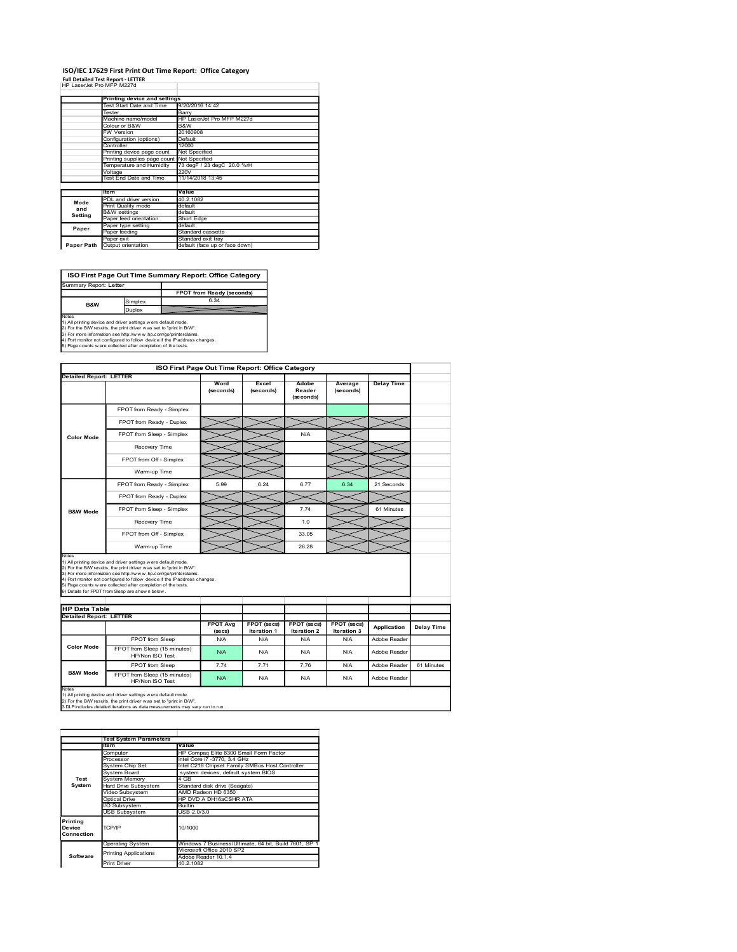### ISO/IEC 17629 First Print Out Time Report: Office Category Full Detailed Test Report - LETTER<br>HP LaserJet Pro MFP M227d

|                                                                                                                                                                                                                                                                                                                            |                                                                      |                                   |                                | ISO/IEC 17629 First Print Out Time Report: Office Category |                    |                 |                       |                   |  |
|----------------------------------------------------------------------------------------------------------------------------------------------------------------------------------------------------------------------------------------------------------------------------------------------------------------------------|----------------------------------------------------------------------|-----------------------------------|--------------------------------|------------------------------------------------------------|--------------------|-----------------|-----------------------|-------------------|--|
| <b>Full Detailed Test Report - LETTER</b><br>HP LaserJet Pro MFP M227d                                                                                                                                                                                                                                                     |                                                                      |                                   |                                |                                                            |                    |                 |                       |                   |  |
|                                                                                                                                                                                                                                                                                                                            | <b>Printing device and settings</b><br>Test Start Date and Time      |                                   |                                | 9/20/2016 14:42                                            |                    |                 |                       |                   |  |
|                                                                                                                                                                                                                                                                                                                            | Tester<br>Machine name/model                                         |                                   | Barry                          | HP LaserJet Pro MFP M227d                                  |                    |                 |                       |                   |  |
|                                                                                                                                                                                                                                                                                                                            | Colour or B&W<br><b>FW Version</b>                                   |                                   | B&W<br>20160908                |                                                            |                    |                 |                       |                   |  |
|                                                                                                                                                                                                                                                                                                                            | Configuration (options)<br>Controller                                |                                   | Default<br>12000               |                                                            |                    |                 |                       |                   |  |
|                                                                                                                                                                                                                                                                                                                            | Printing device page count<br>Printing supplies page count           |                                   | Not Specified<br>Not Specified |                                                            |                    |                 |                       |                   |  |
|                                                                                                                                                                                                                                                                                                                            | Temperature and Humidity<br>Voltage<br><b>Test End Date and Time</b> |                                   | 220V                           | 73 degF / 23 degC 20.0 %rH<br>11/14/2018 13:45             |                    |                 |                       |                   |  |
|                                                                                                                                                                                                                                                                                                                            | ltem                                                                 |                                   | Value                          |                                                            |                    |                 |                       |                   |  |
| Mode                                                                                                                                                                                                                                                                                                                       | PDL and driver version<br>Print Quality mode                         |                                   | 40.2.1082<br>default           |                                                            |                    |                 |                       |                   |  |
| and<br><b>Setting</b>                                                                                                                                                                                                                                                                                                      | <b>B&amp;W</b> settings<br>Paper feed orientation                    |                                   | default<br>Short Edge          |                                                            |                    |                 |                       |                   |  |
| Paper                                                                                                                                                                                                                                                                                                                      | Paper type setting<br>Paper feeding                                  |                                   | default                        | Standard cassette                                          |                    |                 |                       |                   |  |
| Paper Path Output orientation                                                                                                                                                                                                                                                                                              | aper exit?                                                           |                                   |                                | Standard exit tray<br>default (face up or face down)       |                    |                 |                       |                   |  |
|                                                                                                                                                                                                                                                                                                                            |                                                                      |                                   |                                |                                                            |                    |                 |                       |                   |  |
|                                                                                                                                                                                                                                                                                                                            |                                                                      |                                   |                                | ISO First Page Out Time Summary Report: Office Category    |                    |                 |                       |                   |  |
|                                                                                                                                                                                                                                                                                                                            |                                                                      |                                   |                                |                                                            |                    |                 |                       |                   |  |
|                                                                                                                                                                                                                                                                                                                            |                                                                      | FPOT from Ready (seconds)<br>6.34 |                                |                                                            |                    |                 |                       |                   |  |
| B&W                                                                                                                                                                                                                                                                                                                        |                                                                      | Simplex                           |                                |                                                            |                    |                 |                       |                   |  |
| Summary Report: Letter                                                                                                                                                                                                                                                                                                     |                                                                      | Duplex                            |                                |                                                            |                    |                 |                       |                   |  |
| 1) For the B/W results the print driver was set to "print in B/W                                                                                                                                                                                                                                                           |                                                                      |                                   |                                |                                                            |                    |                 |                       |                   |  |
|                                                                                                                                                                                                                                                                                                                            |                                                                      |                                   |                                |                                                            |                    |                 |                       |                   |  |
|                                                                                                                                                                                                                                                                                                                            |                                                                      |                                   |                                |                                                            |                    |                 |                       |                   |  |
|                                                                                                                                                                                                                                                                                                                            |                                                                      |                                   |                                | ISO First Page Out Time Report: Office Category            |                    |                 |                       |                   |  |
|                                                                                                                                                                                                                                                                                                                            |                                                                      |                                   |                                | Word<br>(seconds)                                          | Excel<br>(seconds) | Adobe<br>Reader | Average<br>(se conds) | <b>Delay Time</b> |  |
| Notes<br>1) All printing device and driver settings were default mode.<br>3) For more information see http://www.hp.com/go/printerclaims.<br>4) Port monitor not configured to follow device if the IP address changes.<br>5) Page counts w ere collected after completion of the tests.<br><b>Detailed Report: LETTER</b> |                                                                      | FPOT from Ready - Simplex         |                                |                                                            |                    | (seconds)       |                       |                   |  |

| Colour or B&W<br>B&W<br><b>FW Version</b><br>20160908<br>Configuration (options)<br>Default<br>Controller<br>12000<br>Printing device page count<br>Not Specified<br>Printing supplies page count<br>Not Specified<br>Temperature and Humidity<br>73 degF / 23 degC 20.0 %rH<br>Voltage<br>220V<br>Test End Date and Time<br>11/14/2018 13:45<br>ltem<br>Value<br>PDL and driver version<br>40.2.1082<br>Print Quality mode<br>default<br>and<br><b>B&amp;W</b> settings<br>default<br>aper feed orientation<br>Short Edge<br>Paper type setting<br>default<br>Paper feeding<br>Standard cassette<br>Standard exit tray<br>Paper exit<br>Paper Path Output orientation<br>default (face up or face down)<br>ISO First Page Out Time Summary Report: Office Category<br>Summary Report: Letter<br>FPOT from Ready (seconds)<br>6.34<br>Simplex<br>B&W<br>Duplex<br>1) All printing device and driver settings were default mode.<br>2) For the B/W results, the print driver was set to "print in B/W".<br>3) For more information see http://www.hp.com/go/printerclaims.<br>4) Port monitor not configured to follow device if the IP address changes.<br>5) Page counts w ere collected after completion of the tests.<br>ISO First Page Out Time Report: Office Category<br><b>Detailed Report: LETTER</b><br>Word<br>Excel<br>Adobe<br>Average<br><b>Delay Time</b><br>(seconds)<br>(seconds)<br>Reader<br>(seconds)<br>(seconds)<br>FPOT from Ready - Simplex<br>FPOT from Ready - Duplex<br>FPOT from Sleep - Simplex<br>N/A<br>Recovery Time<br>FPOT from Off - Simplex<br>Warm-up Time<br>FPOT from Ready - Simplex<br>6.24<br>6.77<br>6.34<br>21 Seconds<br>5.99<br>FPOT from Ready - Duplex<br>FPOT from Sleep - Simplex<br>7.74<br>61 Minutes<br>1.0<br>Recovery Time<br>FPOT from Off - Simplex<br>33.05<br>26.28<br>Warm-up Time<br>1) All printing device and driver settings were default mode.<br>2) For the B/W results, the print driver was set to "print in B/W".<br>3) For more information see http://www.hp.com/go/printerclaims.<br>4) Port monitor not configured to follow device if the Paddress changes.<br>5) Page counts w ere collected after completion of the tests.<br>6) Details for FPOT from Sleep are show n below<br><b>Detailed Report: LETTER</b><br><b>FPOT Avg</b><br>FPOT (secs)<br>FPOT (secs)<br>FPOT (secs)<br>Application<br>(secs)<br>Iteration 1<br>Iteration 2<br>Iteration 3<br>FPOT from Sleep<br>N/A<br>N/A<br>N/A<br>N/A<br>Adobe Reader<br>FPOT from Sleep (15 minutes)<br>N/A<br>N/A<br>N/A<br>N/A<br>Adobe Reader<br>HP/Non ISO Test<br>FPOT from Sleep<br>7.74<br>7.71<br>7.76<br>N/A<br>Adobe Reader<br><b>B&amp;W Mode</b><br>FPOT from Sleep (15 minutes)<br>N/A<br>N/A<br>N/A<br>N/A<br>Adobe Reader<br>HP/Non ISO Test<br>Notes<br>1) All printing device and driver settings were default mode.<br>2) For the B/W results, the print driver was set to "print in B/W".<br>3 DLP includes detailed iterations as data measurements may vary run to run.<br><b>Test System Parameters</b><br>ltem<br>Value<br>HP Compaq Elite 8300 Small Form Factor<br>Computer<br>Intel Core i7 -3770, 3.4 GHz<br>Processor<br>System Chip Set<br>Intel C216 Chipset Family SMBus Host Controller<br>system devices, default system BIOS<br>System Board<br>Test<br>System Memory<br>4 GB<br>System<br>Hard Drive Subsystem<br>Standard disk drive (Seagate)<br>AMD Radeon HD 6350<br>Video Subsystem<br>HP DVD A DH16aCSHR ATA<br><b>Optical Drive</b><br>I/O Subsystem<br><b>Builtin</b><br>USB Subsystem<br>USB 2.0/3.0<br>TCP/IP<br>10/1000<br>Operating System<br>Windows 7 Business/Ultimate, 64 bit, Build 7601, SP 1<br>Microsoft Office 2010 SP2<br><b>Printing Applications</b><br>Adobe Reader 10.1.4<br><b>Print Driver</b><br>40.2.1082 |                      | Machine name/model |  | HP LaserJet Pro MFP M227d |  |  |                   |
|-------------------------------------------------------------------------------------------------------------------------------------------------------------------------------------------------------------------------------------------------------------------------------------------------------------------------------------------------------------------------------------------------------------------------------------------------------------------------------------------------------------------------------------------------------------------------------------------------------------------------------------------------------------------------------------------------------------------------------------------------------------------------------------------------------------------------------------------------------------------------------------------------------------------------------------------------------------------------------------------------------------------------------------------------------------------------------------------------------------------------------------------------------------------------------------------------------------------------------------------------------------------------------------------------------------------------------------------------------------------------------------------------------------------------------------------------------------------------------------------------------------------------------------------------------------------------------------------------------------------------------------------------------------------------------------------------------------------------------------------------------------------------------------------------------------------------------------------------------------------------------------------------------------------------------------------------------------------------------------------------------------------------------------------------------------------------------------------------------------------------------------------------------------------------------------------------------------------------------------------------------------------------------------------------------------------------------------------------------------------------------------------------------------------------------------------------------------------------------------------------------------------------------------------------------------------------------------------------------------------------------------------------------------------------------------------------------------------------------------------------------------------------------------------------------------------------------------------------------------------------------------------------------------------------------------------------------------------------------------------------------------------------------------------------------------------------------------------------------------------------------------------------------------------------------------------------------------------------------------------------------------------------------------------------------------------------------------------------------------------------------------------------------------------------------------------------------------------------------------------------------------------------------------------------------------------------------------------------------------------------------------------------------------------------------------------------------------------------------------------------------------------------------------------------------|----------------------|--------------------|--|---------------------------|--|--|-------------------|
|                                                                                                                                                                                                                                                                                                                                                                                                                                                                                                                                                                                                                                                                                                                                                                                                                                                                                                                                                                                                                                                                                                                                                                                                                                                                                                                                                                                                                                                                                                                                                                                                                                                                                                                                                                                                                                                                                                                                                                                                                                                                                                                                                                                                                                                                                                                                                                                                                                                                                                                                                                                                                                                                                                                                                                                                                                                                                                                                                                                                                                                                                                                                                                                                                                                                                                                                                                                                                                                                                                                                                                                                                                                                                                                                                                                                       |                      |                    |  |                           |  |  |                   |
|                                                                                                                                                                                                                                                                                                                                                                                                                                                                                                                                                                                                                                                                                                                                                                                                                                                                                                                                                                                                                                                                                                                                                                                                                                                                                                                                                                                                                                                                                                                                                                                                                                                                                                                                                                                                                                                                                                                                                                                                                                                                                                                                                                                                                                                                                                                                                                                                                                                                                                                                                                                                                                                                                                                                                                                                                                                                                                                                                                                                                                                                                                                                                                                                                                                                                                                                                                                                                                                                                                                                                                                                                                                                                                                                                                                                       |                      |                    |  |                           |  |  |                   |
|                                                                                                                                                                                                                                                                                                                                                                                                                                                                                                                                                                                                                                                                                                                                                                                                                                                                                                                                                                                                                                                                                                                                                                                                                                                                                                                                                                                                                                                                                                                                                                                                                                                                                                                                                                                                                                                                                                                                                                                                                                                                                                                                                                                                                                                                                                                                                                                                                                                                                                                                                                                                                                                                                                                                                                                                                                                                                                                                                                                                                                                                                                                                                                                                                                                                                                                                                                                                                                                                                                                                                                                                                                                                                                                                                                                                       |                      |                    |  |                           |  |  |                   |
|                                                                                                                                                                                                                                                                                                                                                                                                                                                                                                                                                                                                                                                                                                                                                                                                                                                                                                                                                                                                                                                                                                                                                                                                                                                                                                                                                                                                                                                                                                                                                                                                                                                                                                                                                                                                                                                                                                                                                                                                                                                                                                                                                                                                                                                                                                                                                                                                                                                                                                                                                                                                                                                                                                                                                                                                                                                                                                                                                                                                                                                                                                                                                                                                                                                                                                                                                                                                                                                                                                                                                                                                                                                                                                                                                                                                       |                      |                    |  |                           |  |  |                   |
|                                                                                                                                                                                                                                                                                                                                                                                                                                                                                                                                                                                                                                                                                                                                                                                                                                                                                                                                                                                                                                                                                                                                                                                                                                                                                                                                                                                                                                                                                                                                                                                                                                                                                                                                                                                                                                                                                                                                                                                                                                                                                                                                                                                                                                                                                                                                                                                                                                                                                                                                                                                                                                                                                                                                                                                                                                                                                                                                                                                                                                                                                                                                                                                                                                                                                                                                                                                                                                                                                                                                                                                                                                                                                                                                                                                                       |                      |                    |  |                           |  |  |                   |
|                                                                                                                                                                                                                                                                                                                                                                                                                                                                                                                                                                                                                                                                                                                                                                                                                                                                                                                                                                                                                                                                                                                                                                                                                                                                                                                                                                                                                                                                                                                                                                                                                                                                                                                                                                                                                                                                                                                                                                                                                                                                                                                                                                                                                                                                                                                                                                                                                                                                                                                                                                                                                                                                                                                                                                                                                                                                                                                                                                                                                                                                                                                                                                                                                                                                                                                                                                                                                                                                                                                                                                                                                                                                                                                                                                                                       |                      |                    |  |                           |  |  |                   |
|                                                                                                                                                                                                                                                                                                                                                                                                                                                                                                                                                                                                                                                                                                                                                                                                                                                                                                                                                                                                                                                                                                                                                                                                                                                                                                                                                                                                                                                                                                                                                                                                                                                                                                                                                                                                                                                                                                                                                                                                                                                                                                                                                                                                                                                                                                                                                                                                                                                                                                                                                                                                                                                                                                                                                                                                                                                                                                                                                                                                                                                                                                                                                                                                                                                                                                                                                                                                                                                                                                                                                                                                                                                                                                                                                                                                       | Mode                 |                    |  |                           |  |  |                   |
|                                                                                                                                                                                                                                                                                                                                                                                                                                                                                                                                                                                                                                                                                                                                                                                                                                                                                                                                                                                                                                                                                                                                                                                                                                                                                                                                                                                                                                                                                                                                                                                                                                                                                                                                                                                                                                                                                                                                                                                                                                                                                                                                                                                                                                                                                                                                                                                                                                                                                                                                                                                                                                                                                                                                                                                                                                                                                                                                                                                                                                                                                                                                                                                                                                                                                                                                                                                                                                                                                                                                                                                                                                                                                                                                                                                                       | Setting              |                    |  |                           |  |  |                   |
|                                                                                                                                                                                                                                                                                                                                                                                                                                                                                                                                                                                                                                                                                                                                                                                                                                                                                                                                                                                                                                                                                                                                                                                                                                                                                                                                                                                                                                                                                                                                                                                                                                                                                                                                                                                                                                                                                                                                                                                                                                                                                                                                                                                                                                                                                                                                                                                                                                                                                                                                                                                                                                                                                                                                                                                                                                                                                                                                                                                                                                                                                                                                                                                                                                                                                                                                                                                                                                                                                                                                                                                                                                                                                                                                                                                                       | Paper                |                    |  |                           |  |  |                   |
|                                                                                                                                                                                                                                                                                                                                                                                                                                                                                                                                                                                                                                                                                                                                                                                                                                                                                                                                                                                                                                                                                                                                                                                                                                                                                                                                                                                                                                                                                                                                                                                                                                                                                                                                                                                                                                                                                                                                                                                                                                                                                                                                                                                                                                                                                                                                                                                                                                                                                                                                                                                                                                                                                                                                                                                                                                                                                                                                                                                                                                                                                                                                                                                                                                                                                                                                                                                                                                                                                                                                                                                                                                                                                                                                                                                                       |                      |                    |  |                           |  |  |                   |
|                                                                                                                                                                                                                                                                                                                                                                                                                                                                                                                                                                                                                                                                                                                                                                                                                                                                                                                                                                                                                                                                                                                                                                                                                                                                                                                                                                                                                                                                                                                                                                                                                                                                                                                                                                                                                                                                                                                                                                                                                                                                                                                                                                                                                                                                                                                                                                                                                                                                                                                                                                                                                                                                                                                                                                                                                                                                                                                                                                                                                                                                                                                                                                                                                                                                                                                                                                                                                                                                                                                                                                                                                                                                                                                                                                                                       |                      |                    |  |                           |  |  |                   |
|                                                                                                                                                                                                                                                                                                                                                                                                                                                                                                                                                                                                                                                                                                                                                                                                                                                                                                                                                                                                                                                                                                                                                                                                                                                                                                                                                                                                                                                                                                                                                                                                                                                                                                                                                                                                                                                                                                                                                                                                                                                                                                                                                                                                                                                                                                                                                                                                                                                                                                                                                                                                                                                                                                                                                                                                                                                                                                                                                                                                                                                                                                                                                                                                                                                                                                                                                                                                                                                                                                                                                                                                                                                                                                                                                                                                       |                      |                    |  |                           |  |  |                   |
|                                                                                                                                                                                                                                                                                                                                                                                                                                                                                                                                                                                                                                                                                                                                                                                                                                                                                                                                                                                                                                                                                                                                                                                                                                                                                                                                                                                                                                                                                                                                                                                                                                                                                                                                                                                                                                                                                                                                                                                                                                                                                                                                                                                                                                                                                                                                                                                                                                                                                                                                                                                                                                                                                                                                                                                                                                                                                                                                                                                                                                                                                                                                                                                                                                                                                                                                                                                                                                                                                                                                                                                                                                                                                                                                                                                                       |                      |                    |  |                           |  |  |                   |
|                                                                                                                                                                                                                                                                                                                                                                                                                                                                                                                                                                                                                                                                                                                                                                                                                                                                                                                                                                                                                                                                                                                                                                                                                                                                                                                                                                                                                                                                                                                                                                                                                                                                                                                                                                                                                                                                                                                                                                                                                                                                                                                                                                                                                                                                                                                                                                                                                                                                                                                                                                                                                                                                                                                                                                                                                                                                                                                                                                                                                                                                                                                                                                                                                                                                                                                                                                                                                                                                                                                                                                                                                                                                                                                                                                                                       |                      |                    |  |                           |  |  |                   |
|                                                                                                                                                                                                                                                                                                                                                                                                                                                                                                                                                                                                                                                                                                                                                                                                                                                                                                                                                                                                                                                                                                                                                                                                                                                                                                                                                                                                                                                                                                                                                                                                                                                                                                                                                                                                                                                                                                                                                                                                                                                                                                                                                                                                                                                                                                                                                                                                                                                                                                                                                                                                                                                                                                                                                                                                                                                                                                                                                                                                                                                                                                                                                                                                                                                                                                                                                                                                                                                                                                                                                                                                                                                                                                                                                                                                       |                      |                    |  |                           |  |  |                   |
|                                                                                                                                                                                                                                                                                                                                                                                                                                                                                                                                                                                                                                                                                                                                                                                                                                                                                                                                                                                                                                                                                                                                                                                                                                                                                                                                                                                                                                                                                                                                                                                                                                                                                                                                                                                                                                                                                                                                                                                                                                                                                                                                                                                                                                                                                                                                                                                                                                                                                                                                                                                                                                                                                                                                                                                                                                                                                                                                                                                                                                                                                                                                                                                                                                                                                                                                                                                                                                                                                                                                                                                                                                                                                                                                                                                                       |                      |                    |  |                           |  |  |                   |
|                                                                                                                                                                                                                                                                                                                                                                                                                                                                                                                                                                                                                                                                                                                                                                                                                                                                                                                                                                                                                                                                                                                                                                                                                                                                                                                                                                                                                                                                                                                                                                                                                                                                                                                                                                                                                                                                                                                                                                                                                                                                                                                                                                                                                                                                                                                                                                                                                                                                                                                                                                                                                                                                                                                                                                                                                                                                                                                                                                                                                                                                                                                                                                                                                                                                                                                                                                                                                                                                                                                                                                                                                                                                                                                                                                                                       | Notes                |                    |  |                           |  |  |                   |
|                                                                                                                                                                                                                                                                                                                                                                                                                                                                                                                                                                                                                                                                                                                                                                                                                                                                                                                                                                                                                                                                                                                                                                                                                                                                                                                                                                                                                                                                                                                                                                                                                                                                                                                                                                                                                                                                                                                                                                                                                                                                                                                                                                                                                                                                                                                                                                                                                                                                                                                                                                                                                                                                                                                                                                                                                                                                                                                                                                                                                                                                                                                                                                                                                                                                                                                                                                                                                                                                                                                                                                                                                                                                                                                                                                                                       |                      |                    |  |                           |  |  |                   |
|                                                                                                                                                                                                                                                                                                                                                                                                                                                                                                                                                                                                                                                                                                                                                                                                                                                                                                                                                                                                                                                                                                                                                                                                                                                                                                                                                                                                                                                                                                                                                                                                                                                                                                                                                                                                                                                                                                                                                                                                                                                                                                                                                                                                                                                                                                                                                                                                                                                                                                                                                                                                                                                                                                                                                                                                                                                                                                                                                                                                                                                                                                                                                                                                                                                                                                                                                                                                                                                                                                                                                                                                                                                                                                                                                                                                       |                      |                    |  |                           |  |  |                   |
|                                                                                                                                                                                                                                                                                                                                                                                                                                                                                                                                                                                                                                                                                                                                                                                                                                                                                                                                                                                                                                                                                                                                                                                                                                                                                                                                                                                                                                                                                                                                                                                                                                                                                                                                                                                                                                                                                                                                                                                                                                                                                                                                                                                                                                                                                                                                                                                                                                                                                                                                                                                                                                                                                                                                                                                                                                                                                                                                                                                                                                                                                                                                                                                                                                                                                                                                                                                                                                                                                                                                                                                                                                                                                                                                                                                                       |                      |                    |  |                           |  |  |                   |
|                                                                                                                                                                                                                                                                                                                                                                                                                                                                                                                                                                                                                                                                                                                                                                                                                                                                                                                                                                                                                                                                                                                                                                                                                                                                                                                                                                                                                                                                                                                                                                                                                                                                                                                                                                                                                                                                                                                                                                                                                                                                                                                                                                                                                                                                                                                                                                                                                                                                                                                                                                                                                                                                                                                                                                                                                                                                                                                                                                                                                                                                                                                                                                                                                                                                                                                                                                                                                                                                                                                                                                                                                                                                                                                                                                                                       |                      |                    |  |                           |  |  |                   |
|                                                                                                                                                                                                                                                                                                                                                                                                                                                                                                                                                                                                                                                                                                                                                                                                                                                                                                                                                                                                                                                                                                                                                                                                                                                                                                                                                                                                                                                                                                                                                                                                                                                                                                                                                                                                                                                                                                                                                                                                                                                                                                                                                                                                                                                                                                                                                                                                                                                                                                                                                                                                                                                                                                                                                                                                                                                                                                                                                                                                                                                                                                                                                                                                                                                                                                                                                                                                                                                                                                                                                                                                                                                                                                                                                                                                       |                      |                    |  |                           |  |  |                   |
|                                                                                                                                                                                                                                                                                                                                                                                                                                                                                                                                                                                                                                                                                                                                                                                                                                                                                                                                                                                                                                                                                                                                                                                                                                                                                                                                                                                                                                                                                                                                                                                                                                                                                                                                                                                                                                                                                                                                                                                                                                                                                                                                                                                                                                                                                                                                                                                                                                                                                                                                                                                                                                                                                                                                                                                                                                                                                                                                                                                                                                                                                                                                                                                                                                                                                                                                                                                                                                                                                                                                                                                                                                                                                                                                                                                                       |                      |                    |  |                           |  |  |                   |
|                                                                                                                                                                                                                                                                                                                                                                                                                                                                                                                                                                                                                                                                                                                                                                                                                                                                                                                                                                                                                                                                                                                                                                                                                                                                                                                                                                                                                                                                                                                                                                                                                                                                                                                                                                                                                                                                                                                                                                                                                                                                                                                                                                                                                                                                                                                                                                                                                                                                                                                                                                                                                                                                                                                                                                                                                                                                                                                                                                                                                                                                                                                                                                                                                                                                                                                                                                                                                                                                                                                                                                                                                                                                                                                                                                                                       |                      |                    |  |                           |  |  |                   |
|                                                                                                                                                                                                                                                                                                                                                                                                                                                                                                                                                                                                                                                                                                                                                                                                                                                                                                                                                                                                                                                                                                                                                                                                                                                                                                                                                                                                                                                                                                                                                                                                                                                                                                                                                                                                                                                                                                                                                                                                                                                                                                                                                                                                                                                                                                                                                                                                                                                                                                                                                                                                                                                                                                                                                                                                                                                                                                                                                                                                                                                                                                                                                                                                                                                                                                                                                                                                                                                                                                                                                                                                                                                                                                                                                                                                       |                      |                    |  |                           |  |  |                   |
|                                                                                                                                                                                                                                                                                                                                                                                                                                                                                                                                                                                                                                                                                                                                                                                                                                                                                                                                                                                                                                                                                                                                                                                                                                                                                                                                                                                                                                                                                                                                                                                                                                                                                                                                                                                                                                                                                                                                                                                                                                                                                                                                                                                                                                                                                                                                                                                                                                                                                                                                                                                                                                                                                                                                                                                                                                                                                                                                                                                                                                                                                                                                                                                                                                                                                                                                                                                                                                                                                                                                                                                                                                                                                                                                                                                                       |                      |                    |  |                           |  |  |                   |
|                                                                                                                                                                                                                                                                                                                                                                                                                                                                                                                                                                                                                                                                                                                                                                                                                                                                                                                                                                                                                                                                                                                                                                                                                                                                                                                                                                                                                                                                                                                                                                                                                                                                                                                                                                                                                                                                                                                                                                                                                                                                                                                                                                                                                                                                                                                                                                                                                                                                                                                                                                                                                                                                                                                                                                                                                                                                                                                                                                                                                                                                                                                                                                                                                                                                                                                                                                                                                                                                                                                                                                                                                                                                                                                                                                                                       | <b>Color Mode</b>    |                    |  |                           |  |  |                   |
|                                                                                                                                                                                                                                                                                                                                                                                                                                                                                                                                                                                                                                                                                                                                                                                                                                                                                                                                                                                                                                                                                                                                                                                                                                                                                                                                                                                                                                                                                                                                                                                                                                                                                                                                                                                                                                                                                                                                                                                                                                                                                                                                                                                                                                                                                                                                                                                                                                                                                                                                                                                                                                                                                                                                                                                                                                                                                                                                                                                                                                                                                                                                                                                                                                                                                                                                                                                                                                                                                                                                                                                                                                                                                                                                                                                                       |                      |                    |  |                           |  |  |                   |
|                                                                                                                                                                                                                                                                                                                                                                                                                                                                                                                                                                                                                                                                                                                                                                                                                                                                                                                                                                                                                                                                                                                                                                                                                                                                                                                                                                                                                                                                                                                                                                                                                                                                                                                                                                                                                                                                                                                                                                                                                                                                                                                                                                                                                                                                                                                                                                                                                                                                                                                                                                                                                                                                                                                                                                                                                                                                                                                                                                                                                                                                                                                                                                                                                                                                                                                                                                                                                                                                                                                                                                                                                                                                                                                                                                                                       |                      |                    |  |                           |  |  |                   |
|                                                                                                                                                                                                                                                                                                                                                                                                                                                                                                                                                                                                                                                                                                                                                                                                                                                                                                                                                                                                                                                                                                                                                                                                                                                                                                                                                                                                                                                                                                                                                                                                                                                                                                                                                                                                                                                                                                                                                                                                                                                                                                                                                                                                                                                                                                                                                                                                                                                                                                                                                                                                                                                                                                                                                                                                                                                                                                                                                                                                                                                                                                                                                                                                                                                                                                                                                                                                                                                                                                                                                                                                                                                                                                                                                                                                       |                      |                    |  |                           |  |  |                   |
|                                                                                                                                                                                                                                                                                                                                                                                                                                                                                                                                                                                                                                                                                                                                                                                                                                                                                                                                                                                                                                                                                                                                                                                                                                                                                                                                                                                                                                                                                                                                                                                                                                                                                                                                                                                                                                                                                                                                                                                                                                                                                                                                                                                                                                                                                                                                                                                                                                                                                                                                                                                                                                                                                                                                                                                                                                                                                                                                                                                                                                                                                                                                                                                                                                                                                                                                                                                                                                                                                                                                                                                                                                                                                                                                                                                                       |                      |                    |  |                           |  |  |                   |
|                                                                                                                                                                                                                                                                                                                                                                                                                                                                                                                                                                                                                                                                                                                                                                                                                                                                                                                                                                                                                                                                                                                                                                                                                                                                                                                                                                                                                                                                                                                                                                                                                                                                                                                                                                                                                                                                                                                                                                                                                                                                                                                                                                                                                                                                                                                                                                                                                                                                                                                                                                                                                                                                                                                                                                                                                                                                                                                                                                                                                                                                                                                                                                                                                                                                                                                                                                                                                                                                                                                                                                                                                                                                                                                                                                                                       |                      |                    |  |                           |  |  |                   |
|                                                                                                                                                                                                                                                                                                                                                                                                                                                                                                                                                                                                                                                                                                                                                                                                                                                                                                                                                                                                                                                                                                                                                                                                                                                                                                                                                                                                                                                                                                                                                                                                                                                                                                                                                                                                                                                                                                                                                                                                                                                                                                                                                                                                                                                                                                                                                                                                                                                                                                                                                                                                                                                                                                                                                                                                                                                                                                                                                                                                                                                                                                                                                                                                                                                                                                                                                                                                                                                                                                                                                                                                                                                                                                                                                                                                       | <b>B&amp;W Mode</b>  |                    |  |                           |  |  |                   |
|                                                                                                                                                                                                                                                                                                                                                                                                                                                                                                                                                                                                                                                                                                                                                                                                                                                                                                                                                                                                                                                                                                                                                                                                                                                                                                                                                                                                                                                                                                                                                                                                                                                                                                                                                                                                                                                                                                                                                                                                                                                                                                                                                                                                                                                                                                                                                                                                                                                                                                                                                                                                                                                                                                                                                                                                                                                                                                                                                                                                                                                                                                                                                                                                                                                                                                                                                                                                                                                                                                                                                                                                                                                                                                                                                                                                       |                      |                    |  |                           |  |  |                   |
|                                                                                                                                                                                                                                                                                                                                                                                                                                                                                                                                                                                                                                                                                                                                                                                                                                                                                                                                                                                                                                                                                                                                                                                                                                                                                                                                                                                                                                                                                                                                                                                                                                                                                                                                                                                                                                                                                                                                                                                                                                                                                                                                                                                                                                                                                                                                                                                                                                                                                                                                                                                                                                                                                                                                                                                                                                                                                                                                                                                                                                                                                                                                                                                                                                                                                                                                                                                                                                                                                                                                                                                                                                                                                                                                                                                                       |                      |                    |  |                           |  |  |                   |
|                                                                                                                                                                                                                                                                                                                                                                                                                                                                                                                                                                                                                                                                                                                                                                                                                                                                                                                                                                                                                                                                                                                                                                                                                                                                                                                                                                                                                                                                                                                                                                                                                                                                                                                                                                                                                                                                                                                                                                                                                                                                                                                                                                                                                                                                                                                                                                                                                                                                                                                                                                                                                                                                                                                                                                                                                                                                                                                                                                                                                                                                                                                                                                                                                                                                                                                                                                                                                                                                                                                                                                                                                                                                                                                                                                                                       |                      |                    |  |                           |  |  |                   |
|                                                                                                                                                                                                                                                                                                                                                                                                                                                                                                                                                                                                                                                                                                                                                                                                                                                                                                                                                                                                                                                                                                                                                                                                                                                                                                                                                                                                                                                                                                                                                                                                                                                                                                                                                                                                                                                                                                                                                                                                                                                                                                                                                                                                                                                                                                                                                                                                                                                                                                                                                                                                                                                                                                                                                                                                                                                                                                                                                                                                                                                                                                                                                                                                                                                                                                                                                                                                                                                                                                                                                                                                                                                                                                                                                                                                       | Notes                |                    |  |                           |  |  |                   |
|                                                                                                                                                                                                                                                                                                                                                                                                                                                                                                                                                                                                                                                                                                                                                                                                                                                                                                                                                                                                                                                                                                                                                                                                                                                                                                                                                                                                                                                                                                                                                                                                                                                                                                                                                                                                                                                                                                                                                                                                                                                                                                                                                                                                                                                                                                                                                                                                                                                                                                                                                                                                                                                                                                                                                                                                                                                                                                                                                                                                                                                                                                                                                                                                                                                                                                                                                                                                                                                                                                                                                                                                                                                                                                                                                                                                       |                      |                    |  |                           |  |  |                   |
|                                                                                                                                                                                                                                                                                                                                                                                                                                                                                                                                                                                                                                                                                                                                                                                                                                                                                                                                                                                                                                                                                                                                                                                                                                                                                                                                                                                                                                                                                                                                                                                                                                                                                                                                                                                                                                                                                                                                                                                                                                                                                                                                                                                                                                                                                                                                                                                                                                                                                                                                                                                                                                                                                                                                                                                                                                                                                                                                                                                                                                                                                                                                                                                                                                                                                                                                                                                                                                                                                                                                                                                                                                                                                                                                                                                                       |                      |                    |  |                           |  |  |                   |
|                                                                                                                                                                                                                                                                                                                                                                                                                                                                                                                                                                                                                                                                                                                                                                                                                                                                                                                                                                                                                                                                                                                                                                                                                                                                                                                                                                                                                                                                                                                                                                                                                                                                                                                                                                                                                                                                                                                                                                                                                                                                                                                                                                                                                                                                                                                                                                                                                                                                                                                                                                                                                                                                                                                                                                                                                                                                                                                                                                                                                                                                                                                                                                                                                                                                                                                                                                                                                                                                                                                                                                                                                                                                                                                                                                                                       |                      |                    |  |                           |  |  |                   |
|                                                                                                                                                                                                                                                                                                                                                                                                                                                                                                                                                                                                                                                                                                                                                                                                                                                                                                                                                                                                                                                                                                                                                                                                                                                                                                                                                                                                                                                                                                                                                                                                                                                                                                                                                                                                                                                                                                                                                                                                                                                                                                                                                                                                                                                                                                                                                                                                                                                                                                                                                                                                                                                                                                                                                                                                                                                                                                                                                                                                                                                                                                                                                                                                                                                                                                                                                                                                                                                                                                                                                                                                                                                                                                                                                                                                       |                      |                    |  |                           |  |  |                   |
|                                                                                                                                                                                                                                                                                                                                                                                                                                                                                                                                                                                                                                                                                                                                                                                                                                                                                                                                                                                                                                                                                                                                                                                                                                                                                                                                                                                                                                                                                                                                                                                                                                                                                                                                                                                                                                                                                                                                                                                                                                                                                                                                                                                                                                                                                                                                                                                                                                                                                                                                                                                                                                                                                                                                                                                                                                                                                                                                                                                                                                                                                                                                                                                                                                                                                                                                                                                                                                                                                                                                                                                                                                                                                                                                                                                                       | <b>HP Data Table</b> |                    |  |                           |  |  |                   |
|                                                                                                                                                                                                                                                                                                                                                                                                                                                                                                                                                                                                                                                                                                                                                                                                                                                                                                                                                                                                                                                                                                                                                                                                                                                                                                                                                                                                                                                                                                                                                                                                                                                                                                                                                                                                                                                                                                                                                                                                                                                                                                                                                                                                                                                                                                                                                                                                                                                                                                                                                                                                                                                                                                                                                                                                                                                                                                                                                                                                                                                                                                                                                                                                                                                                                                                                                                                                                                                                                                                                                                                                                                                                                                                                                                                                       |                      |                    |  |                           |  |  |                   |
|                                                                                                                                                                                                                                                                                                                                                                                                                                                                                                                                                                                                                                                                                                                                                                                                                                                                                                                                                                                                                                                                                                                                                                                                                                                                                                                                                                                                                                                                                                                                                                                                                                                                                                                                                                                                                                                                                                                                                                                                                                                                                                                                                                                                                                                                                                                                                                                                                                                                                                                                                                                                                                                                                                                                                                                                                                                                                                                                                                                                                                                                                                                                                                                                                                                                                                                                                                                                                                                                                                                                                                                                                                                                                                                                                                                                       |                      |                    |  |                           |  |  | <b>Delay Time</b> |
|                                                                                                                                                                                                                                                                                                                                                                                                                                                                                                                                                                                                                                                                                                                                                                                                                                                                                                                                                                                                                                                                                                                                                                                                                                                                                                                                                                                                                                                                                                                                                                                                                                                                                                                                                                                                                                                                                                                                                                                                                                                                                                                                                                                                                                                                                                                                                                                                                                                                                                                                                                                                                                                                                                                                                                                                                                                                                                                                                                                                                                                                                                                                                                                                                                                                                                                                                                                                                                                                                                                                                                                                                                                                                                                                                                                                       | <b>Color Mode</b>    |                    |  |                           |  |  |                   |
|                                                                                                                                                                                                                                                                                                                                                                                                                                                                                                                                                                                                                                                                                                                                                                                                                                                                                                                                                                                                                                                                                                                                                                                                                                                                                                                                                                                                                                                                                                                                                                                                                                                                                                                                                                                                                                                                                                                                                                                                                                                                                                                                                                                                                                                                                                                                                                                                                                                                                                                                                                                                                                                                                                                                                                                                                                                                                                                                                                                                                                                                                                                                                                                                                                                                                                                                                                                                                                                                                                                                                                                                                                                                                                                                                                                                       |                      |                    |  |                           |  |  |                   |
|                                                                                                                                                                                                                                                                                                                                                                                                                                                                                                                                                                                                                                                                                                                                                                                                                                                                                                                                                                                                                                                                                                                                                                                                                                                                                                                                                                                                                                                                                                                                                                                                                                                                                                                                                                                                                                                                                                                                                                                                                                                                                                                                                                                                                                                                                                                                                                                                                                                                                                                                                                                                                                                                                                                                                                                                                                                                                                                                                                                                                                                                                                                                                                                                                                                                                                                                                                                                                                                                                                                                                                                                                                                                                                                                                                                                       |                      |                    |  |                           |  |  | 61 Minutes        |
|                                                                                                                                                                                                                                                                                                                                                                                                                                                                                                                                                                                                                                                                                                                                                                                                                                                                                                                                                                                                                                                                                                                                                                                                                                                                                                                                                                                                                                                                                                                                                                                                                                                                                                                                                                                                                                                                                                                                                                                                                                                                                                                                                                                                                                                                                                                                                                                                                                                                                                                                                                                                                                                                                                                                                                                                                                                                                                                                                                                                                                                                                                                                                                                                                                                                                                                                                                                                                                                                                                                                                                                                                                                                                                                                                                                                       |                      |                    |  |                           |  |  |                   |
|                                                                                                                                                                                                                                                                                                                                                                                                                                                                                                                                                                                                                                                                                                                                                                                                                                                                                                                                                                                                                                                                                                                                                                                                                                                                                                                                                                                                                                                                                                                                                                                                                                                                                                                                                                                                                                                                                                                                                                                                                                                                                                                                                                                                                                                                                                                                                                                                                                                                                                                                                                                                                                                                                                                                                                                                                                                                                                                                                                                                                                                                                                                                                                                                                                                                                                                                                                                                                                                                                                                                                                                                                                                                                                                                                                                                       |                      |                    |  |                           |  |  |                   |
|                                                                                                                                                                                                                                                                                                                                                                                                                                                                                                                                                                                                                                                                                                                                                                                                                                                                                                                                                                                                                                                                                                                                                                                                                                                                                                                                                                                                                                                                                                                                                                                                                                                                                                                                                                                                                                                                                                                                                                                                                                                                                                                                                                                                                                                                                                                                                                                                                                                                                                                                                                                                                                                                                                                                                                                                                                                                                                                                                                                                                                                                                                                                                                                                                                                                                                                                                                                                                                                                                                                                                                                                                                                                                                                                                                                                       |                      |                    |  |                           |  |  |                   |
|                                                                                                                                                                                                                                                                                                                                                                                                                                                                                                                                                                                                                                                                                                                                                                                                                                                                                                                                                                                                                                                                                                                                                                                                                                                                                                                                                                                                                                                                                                                                                                                                                                                                                                                                                                                                                                                                                                                                                                                                                                                                                                                                                                                                                                                                                                                                                                                                                                                                                                                                                                                                                                                                                                                                                                                                                                                                                                                                                                                                                                                                                                                                                                                                                                                                                                                                                                                                                                                                                                                                                                                                                                                                                                                                                                                                       |                      |                    |  |                           |  |  |                   |
|                                                                                                                                                                                                                                                                                                                                                                                                                                                                                                                                                                                                                                                                                                                                                                                                                                                                                                                                                                                                                                                                                                                                                                                                                                                                                                                                                                                                                                                                                                                                                                                                                                                                                                                                                                                                                                                                                                                                                                                                                                                                                                                                                                                                                                                                                                                                                                                                                                                                                                                                                                                                                                                                                                                                                                                                                                                                                                                                                                                                                                                                                                                                                                                                                                                                                                                                                                                                                                                                                                                                                                                                                                                                                                                                                                                                       |                      |                    |  |                           |  |  |                   |
|                                                                                                                                                                                                                                                                                                                                                                                                                                                                                                                                                                                                                                                                                                                                                                                                                                                                                                                                                                                                                                                                                                                                                                                                                                                                                                                                                                                                                                                                                                                                                                                                                                                                                                                                                                                                                                                                                                                                                                                                                                                                                                                                                                                                                                                                                                                                                                                                                                                                                                                                                                                                                                                                                                                                                                                                                                                                                                                                                                                                                                                                                                                                                                                                                                                                                                                                                                                                                                                                                                                                                                                                                                                                                                                                                                                                       |                      |                    |  |                           |  |  |                   |
|                                                                                                                                                                                                                                                                                                                                                                                                                                                                                                                                                                                                                                                                                                                                                                                                                                                                                                                                                                                                                                                                                                                                                                                                                                                                                                                                                                                                                                                                                                                                                                                                                                                                                                                                                                                                                                                                                                                                                                                                                                                                                                                                                                                                                                                                                                                                                                                                                                                                                                                                                                                                                                                                                                                                                                                                                                                                                                                                                                                                                                                                                                                                                                                                                                                                                                                                                                                                                                                                                                                                                                                                                                                                                                                                                                                                       |                      |                    |  |                           |  |  |                   |
|                                                                                                                                                                                                                                                                                                                                                                                                                                                                                                                                                                                                                                                                                                                                                                                                                                                                                                                                                                                                                                                                                                                                                                                                                                                                                                                                                                                                                                                                                                                                                                                                                                                                                                                                                                                                                                                                                                                                                                                                                                                                                                                                                                                                                                                                                                                                                                                                                                                                                                                                                                                                                                                                                                                                                                                                                                                                                                                                                                                                                                                                                                                                                                                                                                                                                                                                                                                                                                                                                                                                                                                                                                                                                                                                                                                                       |                      |                    |  |                           |  |  |                   |
|                                                                                                                                                                                                                                                                                                                                                                                                                                                                                                                                                                                                                                                                                                                                                                                                                                                                                                                                                                                                                                                                                                                                                                                                                                                                                                                                                                                                                                                                                                                                                                                                                                                                                                                                                                                                                                                                                                                                                                                                                                                                                                                                                                                                                                                                                                                                                                                                                                                                                                                                                                                                                                                                                                                                                                                                                                                                                                                                                                                                                                                                                                                                                                                                                                                                                                                                                                                                                                                                                                                                                                                                                                                                                                                                                                                                       |                      |                    |  |                           |  |  |                   |
|                                                                                                                                                                                                                                                                                                                                                                                                                                                                                                                                                                                                                                                                                                                                                                                                                                                                                                                                                                                                                                                                                                                                                                                                                                                                                                                                                                                                                                                                                                                                                                                                                                                                                                                                                                                                                                                                                                                                                                                                                                                                                                                                                                                                                                                                                                                                                                                                                                                                                                                                                                                                                                                                                                                                                                                                                                                                                                                                                                                                                                                                                                                                                                                                                                                                                                                                                                                                                                                                                                                                                                                                                                                                                                                                                                                                       |                      |                    |  |                           |  |  |                   |
|                                                                                                                                                                                                                                                                                                                                                                                                                                                                                                                                                                                                                                                                                                                                                                                                                                                                                                                                                                                                                                                                                                                                                                                                                                                                                                                                                                                                                                                                                                                                                                                                                                                                                                                                                                                                                                                                                                                                                                                                                                                                                                                                                                                                                                                                                                                                                                                                                                                                                                                                                                                                                                                                                                                                                                                                                                                                                                                                                                                                                                                                                                                                                                                                                                                                                                                                                                                                                                                                                                                                                                                                                                                                                                                                                                                                       |                      |                    |  |                           |  |  |                   |
|                                                                                                                                                                                                                                                                                                                                                                                                                                                                                                                                                                                                                                                                                                                                                                                                                                                                                                                                                                                                                                                                                                                                                                                                                                                                                                                                                                                                                                                                                                                                                                                                                                                                                                                                                                                                                                                                                                                                                                                                                                                                                                                                                                                                                                                                                                                                                                                                                                                                                                                                                                                                                                                                                                                                                                                                                                                                                                                                                                                                                                                                                                                                                                                                                                                                                                                                                                                                                                                                                                                                                                                                                                                                                                                                                                                                       |                      |                    |  |                           |  |  |                   |
|                                                                                                                                                                                                                                                                                                                                                                                                                                                                                                                                                                                                                                                                                                                                                                                                                                                                                                                                                                                                                                                                                                                                                                                                                                                                                                                                                                                                                                                                                                                                                                                                                                                                                                                                                                                                                                                                                                                                                                                                                                                                                                                                                                                                                                                                                                                                                                                                                                                                                                                                                                                                                                                                                                                                                                                                                                                                                                                                                                                                                                                                                                                                                                                                                                                                                                                                                                                                                                                                                                                                                                                                                                                                                                                                                                                                       |                      |                    |  |                           |  |  |                   |
|                                                                                                                                                                                                                                                                                                                                                                                                                                                                                                                                                                                                                                                                                                                                                                                                                                                                                                                                                                                                                                                                                                                                                                                                                                                                                                                                                                                                                                                                                                                                                                                                                                                                                                                                                                                                                                                                                                                                                                                                                                                                                                                                                                                                                                                                                                                                                                                                                                                                                                                                                                                                                                                                                                                                                                                                                                                                                                                                                                                                                                                                                                                                                                                                                                                                                                                                                                                                                                                                                                                                                                                                                                                                                                                                                                                                       | Printing<br>Device   |                    |  |                           |  |  |                   |
|                                                                                                                                                                                                                                                                                                                                                                                                                                                                                                                                                                                                                                                                                                                                                                                                                                                                                                                                                                                                                                                                                                                                                                                                                                                                                                                                                                                                                                                                                                                                                                                                                                                                                                                                                                                                                                                                                                                                                                                                                                                                                                                                                                                                                                                                                                                                                                                                                                                                                                                                                                                                                                                                                                                                                                                                                                                                                                                                                                                                                                                                                                                                                                                                                                                                                                                                                                                                                                                                                                                                                                                                                                                                                                                                                                                                       | Connection           |                    |  |                           |  |  |                   |
|                                                                                                                                                                                                                                                                                                                                                                                                                                                                                                                                                                                                                                                                                                                                                                                                                                                                                                                                                                                                                                                                                                                                                                                                                                                                                                                                                                                                                                                                                                                                                                                                                                                                                                                                                                                                                                                                                                                                                                                                                                                                                                                                                                                                                                                                                                                                                                                                                                                                                                                                                                                                                                                                                                                                                                                                                                                                                                                                                                                                                                                                                                                                                                                                                                                                                                                                                                                                                                                                                                                                                                                                                                                                                                                                                                                                       |                      |                    |  |                           |  |  |                   |
|                                                                                                                                                                                                                                                                                                                                                                                                                                                                                                                                                                                                                                                                                                                                                                                                                                                                                                                                                                                                                                                                                                                                                                                                                                                                                                                                                                                                                                                                                                                                                                                                                                                                                                                                                                                                                                                                                                                                                                                                                                                                                                                                                                                                                                                                                                                                                                                                                                                                                                                                                                                                                                                                                                                                                                                                                                                                                                                                                                                                                                                                                                                                                                                                                                                                                                                                                                                                                                                                                                                                                                                                                                                                                                                                                                                                       | Software             |                    |  |                           |  |  |                   |
|                                                                                                                                                                                                                                                                                                                                                                                                                                                                                                                                                                                                                                                                                                                                                                                                                                                                                                                                                                                                                                                                                                                                                                                                                                                                                                                                                                                                                                                                                                                                                                                                                                                                                                                                                                                                                                                                                                                                                                                                                                                                                                                                                                                                                                                                                                                                                                                                                                                                                                                                                                                                                                                                                                                                                                                                                                                                                                                                                                                                                                                                                                                                                                                                                                                                                                                                                                                                                                                                                                                                                                                                                                                                                                                                                                                                       |                      |                    |  |                           |  |  |                   |
|                                                                                                                                                                                                                                                                                                                                                                                                                                                                                                                                                                                                                                                                                                                                                                                                                                                                                                                                                                                                                                                                                                                                                                                                                                                                                                                                                                                                                                                                                                                                                                                                                                                                                                                                                                                                                                                                                                                                                                                                                                                                                                                                                                                                                                                                                                                                                                                                                                                                                                                                                                                                                                                                                                                                                                                                                                                                                                                                                                                                                                                                                                                                                                                                                                                                                                                                                                                                                                                                                                                                                                                                                                                                                                                                                                                                       |                      |                    |  |                           |  |  |                   |
|                                                                                                                                                                                                                                                                                                                                                                                                                                                                                                                                                                                                                                                                                                                                                                                                                                                                                                                                                                                                                                                                                                                                                                                                                                                                                                                                                                                                                                                                                                                                                                                                                                                                                                                                                                                                                                                                                                                                                                                                                                                                                                                                                                                                                                                                                                                                                                                                                                                                                                                                                                                                                                                                                                                                                                                                                                                                                                                                                                                                                                                                                                                                                                                                                                                                                                                                                                                                                                                                                                                                                                                                                                                                                                                                                                                                       |                      |                    |  |                           |  |  |                   |
|                                                                                                                                                                                                                                                                                                                                                                                                                                                                                                                                                                                                                                                                                                                                                                                                                                                                                                                                                                                                                                                                                                                                                                                                                                                                                                                                                                                                                                                                                                                                                                                                                                                                                                                                                                                                                                                                                                                                                                                                                                                                                                                                                                                                                                                                                                                                                                                                                                                                                                                                                                                                                                                                                                                                                                                                                                                                                                                                                                                                                                                                                                                                                                                                                                                                                                                                                                                                                                                                                                                                                                                                                                                                                                                                                                                                       |                      |                    |  |                           |  |  |                   |
|                                                                                                                                                                                                                                                                                                                                                                                                                                                                                                                                                                                                                                                                                                                                                                                                                                                                                                                                                                                                                                                                                                                                                                                                                                                                                                                                                                                                                                                                                                                                                                                                                                                                                                                                                                                                                                                                                                                                                                                                                                                                                                                                                                                                                                                                                                                                                                                                                                                                                                                                                                                                                                                                                                                                                                                                                                                                                                                                                                                                                                                                                                                                                                                                                                                                                                                                                                                                                                                                                                                                                                                                                                                                                                                                                                                                       |                      |                    |  |                           |  |  |                   |
|                                                                                                                                                                                                                                                                                                                                                                                                                                                                                                                                                                                                                                                                                                                                                                                                                                                                                                                                                                                                                                                                                                                                                                                                                                                                                                                                                                                                                                                                                                                                                                                                                                                                                                                                                                                                                                                                                                                                                                                                                                                                                                                                                                                                                                                                                                                                                                                                                                                                                                                                                                                                                                                                                                                                                                                                                                                                                                                                                                                                                                                                                                                                                                                                                                                                                                                                                                                                                                                                                                                                                                                                                                                                                                                                                                                                       |                      |                    |  |                           |  |  |                   |
|                                                                                                                                                                                                                                                                                                                                                                                                                                                                                                                                                                                                                                                                                                                                                                                                                                                                                                                                                                                                                                                                                                                                                                                                                                                                                                                                                                                                                                                                                                                                                                                                                                                                                                                                                                                                                                                                                                                                                                                                                                                                                                                                                                                                                                                                                                                                                                                                                                                                                                                                                                                                                                                                                                                                                                                                                                                                                                                                                                                                                                                                                                                                                                                                                                                                                                                                                                                                                                                                                                                                                                                                                                                                                                                                                                                                       |                      |                    |  |                           |  |  |                   |

|                                  | <b>Test System Parameters</b> |                                                       |  |  |  |
|----------------------------------|-------------------------------|-------------------------------------------------------|--|--|--|
|                                  | <b>Item</b>                   | Value                                                 |  |  |  |
|                                  | Computer                      | HP Compaq Elite 8300 Small Form Factor                |  |  |  |
|                                  | Processor                     | Intel Core i7 -3770, 3.4 GHz                          |  |  |  |
|                                  | System Chip Set               | Intel C216 Chipset Family SMBus Host Controller       |  |  |  |
|                                  | System Board                  | system devices, default system BIOS                   |  |  |  |
| Test                             | System Memory                 | 4 GB                                                  |  |  |  |
| System                           | Hard Drive Subsystem          | Standard disk drive (Seagate)                         |  |  |  |
|                                  | Video Subsvstem               | AMD Radeon HD 6350                                    |  |  |  |
|                                  | Optical Drive                 | HP DVD A DH16aCSHR ATA                                |  |  |  |
|                                  | I/O Subsystem                 | <b>Builtin</b>                                        |  |  |  |
|                                  | <b>USB Subsystem</b>          | USB 2.0/3.0                                           |  |  |  |
| Printina<br>Device<br>Connection | TCP/IP                        | 10/1000                                               |  |  |  |
|                                  | <b>Operating System</b>       | Windows 7 Business/Ultimate, 64 bit, Build 7601, SP 1 |  |  |  |
|                                  | <b>Printing Applications</b>  | Microsoft Office 2010 SP2                             |  |  |  |
| Software                         |                               | Adobe Reader 10.1.4                                   |  |  |  |
|                                  | Print Driver                  | 40 2 1082                                             |  |  |  |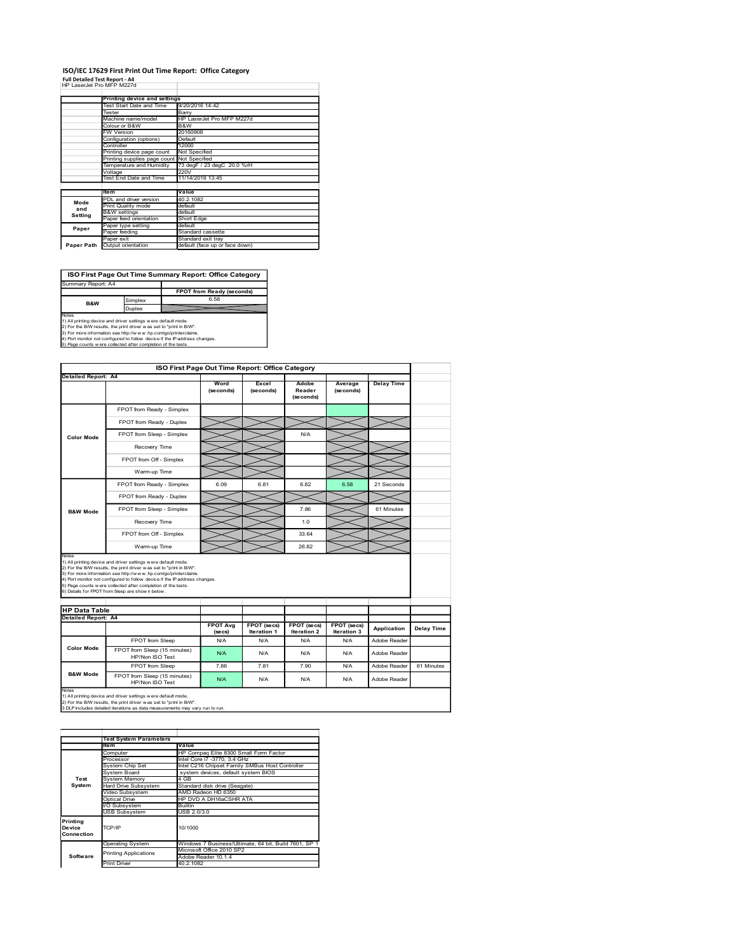#### ISO/IEC 17629 First Print Out Time Report: Office Category Full Detailed Test Report - A4<br>FIP LaserJet Pro MFP M227d

|                                                                                                                                                                                                                                                                                                                                                                                               |                                               |                                                          |  | ISO/IEC 17629 First Print Out Time Report: Office Category |           |                     |           |                   |  |
|-----------------------------------------------------------------------------------------------------------------------------------------------------------------------------------------------------------------------------------------------------------------------------------------------------------------------------------------------------------------------------------------------|-----------------------------------------------|----------------------------------------------------------|--|------------------------------------------------------------|-----------|---------------------|-----------|-------------------|--|
| <b>Full Detailed Test Report - A4</b>                                                                                                                                                                                                                                                                                                                                                         |                                               |                                                          |  |                                                            |           |                     |           |                   |  |
| HP LaserJet Pro MFP M227d                                                                                                                                                                                                                                                                                                                                                                     |                                               |                                                          |  |                                                            |           |                     |           |                   |  |
|                                                                                                                                                                                                                                                                                                                                                                                               |                                               | Printing device and settings<br>Test Start Date and Time |  | 9/20/2016 14:42                                            |           |                     |           |                   |  |
|                                                                                                                                                                                                                                                                                                                                                                                               | Tester                                        | Machine name/model                                       |  | Barry<br>HP LaserJet Pro MFP M227d                         |           |                     |           |                   |  |
|                                                                                                                                                                                                                                                                                                                                                                                               | Colour or B&W<br><b>FW Version</b>            |                                                          |  | B&W<br>20160908                                            |           |                     |           |                   |  |
|                                                                                                                                                                                                                                                                                                                                                                                               |                                               | Configuration (options)                                  |  | Default                                                    |           |                     |           |                   |  |
|                                                                                                                                                                                                                                                                                                                                                                                               | Controller                                    | Printing device page count                               |  | 12000<br>Not Specified                                     |           |                     |           |                   |  |
|                                                                                                                                                                                                                                                                                                                                                                                               |                                               | Printing supplies page count<br>Temperature and Humidity |  | Not Specified<br>73 degF / 23 degC 20.0 %rH                |           |                     |           |                   |  |
|                                                                                                                                                                                                                                                                                                                                                                                               | Voltage                                       | Test End Date and Time                                   |  | 220V<br>11/14/2018 13:45                                   |           |                     |           |                   |  |
|                                                                                                                                                                                                                                                                                                                                                                                               | ltem                                          |                                                          |  | Value                                                      |           |                     |           |                   |  |
| Mode                                                                                                                                                                                                                                                                                                                                                                                          |                                               | PDL and driver version                                   |  | 40.2.1082                                                  |           |                     |           |                   |  |
|                                                                                                                                                                                                                                                                                                                                                                                               |                                               |                                                          |  | default                                                    |           |                     |           |                   |  |
| and                                                                                                                                                                                                                                                                                                                                                                                           | Print Quality mode<br><b>B&amp;W</b> settings |                                                          |  | default                                                    |           |                     |           |                   |  |
| <b>Setting</b>                                                                                                                                                                                                                                                                                                                                                                                |                                               | Paper feed orientation<br>Paper type setting             |  | Short Edge<br>default                                      |           |                     |           |                   |  |
| Paper                                                                                                                                                                                                                                                                                                                                                                                         | Paper feeding<br>Paper exit                   |                                                          |  | Standard cassette<br>Standard exit tray                    |           |                     |           |                   |  |
| Paper Path                                                                                                                                                                                                                                                                                                                                                                                    |                                               | Output orientation                                       |  | default (face up or face down)                             |           |                     |           |                   |  |
|                                                                                                                                                                                                                                                                                                                                                                                               |                                               |                                                          |  |                                                            |           |                     |           |                   |  |
|                                                                                                                                                                                                                                                                                                                                                                                               |                                               |                                                          |  | ISO First Page Out Time Summary Report: Office Category    |           |                     |           |                   |  |
| <b>Summary Report: A4</b>                                                                                                                                                                                                                                                                                                                                                                     |                                               |                                                          |  |                                                            |           |                     |           |                   |  |
|                                                                                                                                                                                                                                                                                                                                                                                               |                                               | Simplex                                                  |  | FPOT from Ready (seconds)<br>6.58                          |           |                     |           |                   |  |
| B&W                                                                                                                                                                                                                                                                                                                                                                                           |                                               | Duplex                                                   |  |                                                            |           |                     |           |                   |  |
|                                                                                                                                                                                                                                                                                                                                                                                               |                                               |                                                          |  |                                                            |           |                     |           |                   |  |
|                                                                                                                                                                                                                                                                                                                                                                                               |                                               |                                                          |  |                                                            |           |                     |           |                   |  |
|                                                                                                                                                                                                                                                                                                                                                                                               |                                               |                                                          |  |                                                            |           |                     |           |                   |  |
|                                                                                                                                                                                                                                                                                                                                                                                               |                                               |                                                          |  |                                                            |           |                     |           |                   |  |
|                                                                                                                                                                                                                                                                                                                                                                                               |                                               |                                                          |  | ISO First Page Out Time Report: Office Category            |           |                     |           |                   |  |
|                                                                                                                                                                                                                                                                                                                                                                                               |                                               |                                                          |  | Word                                                       | Excel     | Adobe               | Average   | <b>Delay Time</b> |  |
|                                                                                                                                                                                                                                                                                                                                                                                               |                                               |                                                          |  | (seconds)                                                  | (seconds) | Reader<br>(seconds) | (seconds) |                   |  |
| Notes<br>1) All printing device and driver settings were default mode.<br>2) For the B/W results, the print driver was set to "print in B/W".<br>-)<br>The more information see http://www.hp.com/go/printerclaims.<br>4) Port monitor not configured to follow device if the Paddress changes.<br>5) Page counts were collected after completion of the tests.<br><b>Detailed Report: A4</b> |                                               | FPOT from Ready - Simplex                                |  |                                                            |           |                     |           |                   |  |

|                                             | Machine name/model                                                                                                                                  |                          | HP LaserJet Pro MFP M227d                                                              |                           |                           |                           |                   |                   |
|---------------------------------------------|-----------------------------------------------------------------------------------------------------------------------------------------------------|--------------------------|----------------------------------------------------------------------------------------|---------------------------|---------------------------|---------------------------|-------------------|-------------------|
|                                             | Colour or B&W<br><b>FW Version</b>                                                                                                                  | B&W<br>20160908          |                                                                                        |                           |                           |                           |                   |                   |
|                                             | Configuration (options)                                                                                                                             | Default                  |                                                                                        |                           |                           |                           |                   |                   |
|                                             | Controller<br>Printing device page count                                                                                                            | 12000<br>Not Specified   |                                                                                        |                           |                           |                           |                   |                   |
|                                             | Printing supplies page count                                                                                                                        | Not Specified            |                                                                                        |                           |                           |                           |                   |                   |
|                                             | Temperature and Humidity<br>Voltage                                                                                                                 | 220V                     | 73 degF / 23 degC 20.0 %rH                                                             |                           |                           |                           |                   |                   |
|                                             | Test End Date and Time                                                                                                                              | 11/14/2018 13:45         |                                                                                        |                           |                           |                           |                   |                   |
|                                             | ltem<br>PDL and driver version                                                                                                                      | Value<br>40.2.1082       |                                                                                        |                           |                           |                           |                   |                   |
| Mode<br>and                                 | Print Quality mode                                                                                                                                  | default                  |                                                                                        |                           |                           |                           |                   |                   |
| Setting                                     | <b>B&amp;W</b> settings<br>aper feed orientation                                                                                                    | default<br>Short Edge    |                                                                                        |                           |                           |                           |                   |                   |
| Paper                                       | Paper type setting<br>Paper feeding                                                                                                                 | default                  | Standard cassette                                                                      |                           |                           |                           |                   |                   |
|                                             | Paper exit                                                                                                                                          |                          | Standard exit tray                                                                     |                           |                           |                           |                   |                   |
|                                             | Paper Path Output orientation                                                                                                                       |                          | default (face up or face down)                                                         |                           |                           |                           |                   |                   |
|                                             |                                                                                                                                                     |                          |                                                                                        |                           |                           |                           |                   |                   |
|                                             | ISO First Page Out Time Summary Report: Office Category                                                                                             |                          |                                                                                        |                           |                           |                           |                   |                   |
| Summary Report: A4                          |                                                                                                                                                     |                          |                                                                                        |                           |                           |                           |                   |                   |
|                                             |                                                                                                                                                     |                          | FPOT from Ready (seconds)<br>6.58                                                      |                           |                           |                           |                   |                   |
| B&W                                         | Simplex<br>Duplex                                                                                                                                   |                          |                                                                                        |                           |                           |                           |                   |                   |
| Notes                                       | 1) All printing device and driver settings were default mode.                                                                                       |                          |                                                                                        |                           |                           |                           |                   |                   |
|                                             | 2) For the B/W results, the print driver was set to "print in B/W".<br>3) For more information see http://www.hp.com/go/printerclaims.              |                          |                                                                                        |                           |                           |                           |                   |                   |
|                                             | 4) Port monitor not configured to follow device if the IP address changes.<br>5) Page counts w ere collected after completion of the tests.         |                          |                                                                                        |                           |                           |                           |                   |                   |
|                                             |                                                                                                                                                     |                          |                                                                                        |                           |                           |                           |                   |                   |
|                                             |                                                                                                                                                     |                          | ISO First Page Out Time Report: Office Category                                        |                           |                           |                           |                   |                   |
| Detailed Report: A4                         |                                                                                                                                                     |                          |                                                                                        |                           |                           |                           |                   |                   |
|                                             |                                                                                                                                                     |                          | Word<br>(seconds)                                                                      | Excel<br>(seconds)        | Adobe<br>Reader           | Average<br>(seconds)      | <b>Delay Time</b> |                   |
|                                             |                                                                                                                                                     |                          |                                                                                        |                           | (seconds)                 |                           |                   |                   |
|                                             | FPOT from Ready - Simplex                                                                                                                           |                          |                                                                                        |                           |                           |                           |                   |                   |
| <b>Color Mode</b>                           |                                                                                                                                                     | FPOT from Ready - Duplex |                                                                                        |                           |                           |                           |                   |                   |
|                                             | FPOT from Sleep - Simplex                                                                                                                           |                          |                                                                                        |                           | N/A                       |                           |                   |                   |
|                                             | Recovery Time                                                                                                                                       |                          |                                                                                        |                           |                           |                           |                   |                   |
|                                             | FPOT from Off - Simplex                                                                                                                             |                          |                                                                                        |                           |                           |                           |                   |                   |
|                                             | Warm-up Time                                                                                                                                        |                          |                                                                                        |                           |                           |                           |                   |                   |
|                                             |                                                                                                                                                     |                          |                                                                                        |                           |                           |                           |                   |                   |
| <b>B&amp;W Mode</b>                         | FPOT from Ready - Simplex                                                                                                                           |                          | 6.09                                                                                   | 6.81                      | 6.82                      | 6.58                      | 21 Seconds        |                   |
|                                             | FPOT from Ready - Duplex                                                                                                                            |                          |                                                                                        |                           |                           |                           |                   |                   |
|                                             | FPOT from Sleep - Simplex                                                                                                                           |                          |                                                                                        |                           | 7.86                      |                           | 61 Minutes        |                   |
|                                             | Recovery Time                                                                                                                                       |                          |                                                                                        |                           | 1.0                       |                           |                   |                   |
|                                             | FPOT from Off - Simplex                                                                                                                             |                          |                                                                                        |                           | 33.64                     |                           |                   |                   |
|                                             | Warm-up Time                                                                                                                                        |                          |                                                                                        |                           | 26.82                     |                           |                   |                   |
| Notes                                       |                                                                                                                                                     |                          |                                                                                        |                           |                           |                           |                   |                   |
|                                             | 1) All printing device and driver settings were default mode.<br>2) For the B/W results, the print driver was set to "print in B/W".                |                          |                                                                                        |                           |                           |                           |                   |                   |
|                                             | – ,<br>3) For more information see http://www.hp.com/go/printerclaims.<br>4) Port monitor not configured to follow device if the Paddress changes.  |                          |                                                                                        |                           |                           |                           |                   |                   |
|                                             | 5) Page counts w ere collected after completion of the tests.<br>6) Details for FPOT from Sleep are show n below                                    |                          |                                                                                        |                           |                           |                           |                   |                   |
|                                             |                                                                                                                                                     |                          |                                                                                        |                           |                           |                           |                   |                   |
| <b>HP Data Table</b><br>Detailed Report: A4 |                                                                                                                                                     |                          |                                                                                        |                           |                           |                           |                   |                   |
|                                             |                                                                                                                                                     |                          | <b>FPOT Avg</b>                                                                        | FPOT (secs)               | FPOT (secs)               | FPOT (secs)               | Application       | <b>Delay Time</b> |
|                                             | FPOT from Sleep                                                                                                                                     |                          | (secs)<br>N/A                                                                          | <b>Iteration 1</b><br>N/A | <b>Iteration 2</b><br>N/A | <b>Iteration 3</b><br>N/A | Adobe Reader      |                   |
| <b>Color Mode</b>                           | FPOT from Sleep (15 minutes)                                                                                                                        |                          | N/A                                                                                    | N/A                       | N/A                       | N/A                       | Adobe Reader      |                   |
|                                             | HP/Non ISO Test                                                                                                                                     |                          |                                                                                        |                           |                           |                           |                   |                   |
| <b>B&amp;W Mode</b>                         | FPOT from Sleep                                                                                                                                     |                          | 7.86                                                                                   | 7.81                      | 7.90                      | N/A                       | Adobe Reader      | 61 Minutes        |
|                                             | FPOT from Sleep (15 minutes)<br>HP/Non ISO Test                                                                                                     |                          | N/A                                                                                    | N/A                       | N/A                       | N/A                       | Adobe Reader      |                   |
| Notes                                       | 1) All printing device and driver settings were default mode.                                                                                       |                          |                                                                                        |                           |                           |                           |                   |                   |
|                                             | 2) For the B/W results, the print driver was set to "print in B/W".<br>3 DLP includes detailed iterations as data measurements may vary run to run. |                          |                                                                                        |                           |                           |                           |                   |                   |
|                                             |                                                                                                                                                     |                          |                                                                                        |                           |                           |                           |                   |                   |
|                                             |                                                                                                                                                     |                          |                                                                                        |                           |                           |                           |                   |                   |
|                                             | <b>Test System Parameters</b>                                                                                                                       |                          |                                                                                        |                           |                           |                           |                   |                   |
|                                             | ltem                                                                                                                                                | Value                    | HP Compaq Elite 8300 Small Form Factor                                                 |                           |                           |                           |                   |                   |
|                                             | Computer<br>Processor                                                                                                                               |                          | Intel Core i7 -3770, 3.4 GHz                                                           |                           |                           |                           |                   |                   |
|                                             | System Chip Set<br>System Board                                                                                                                     |                          | Intel C216 Chipset Family SMBus Host Controller<br>system devices, default system BIOS |                           |                           |                           |                   |                   |
| Test<br>System                              | System Memory<br>Hard Drive Subsystem                                                                                                               | 4 GB                     | Standard disk drive (Seagate)                                                          |                           |                           |                           |                   |                   |
|                                             | Video Subsystem                                                                                                                                     |                          | AMD Radeon HD 6350                                                                     |                           |                           |                           |                   |                   |
|                                             | <b>Optical Drive</b><br>I/O Subsystem                                                                                                               | <b>Builtin</b>           | HP DVD A DH16aCSHR ATA                                                                 |                           |                           |                           |                   |                   |
|                                             | USB Subsystem                                                                                                                                       | USB 2.0/3.0              |                                                                                        |                           |                           |                           |                   |                   |
| Printing<br>Device                          | TCP/IP                                                                                                                                              | 10/1000                  |                                                                                        |                           |                           |                           |                   |                   |
|                                             |                                                                                                                                                     |                          |                                                                                        |                           |                           |                           |                   |                   |
| Connection                                  | Operating System                                                                                                                                    |                          | Windows 7 Business/Ultimate, 64 bit, Build 7601, SP 1                                  |                           |                           |                           |                   |                   |
|                                             |                                                                                                                                                     |                          |                                                                                        |                           |                           |                           |                   |                   |
| Software                                    | <b>Printing Applications</b>                                                                                                                        |                          |                                                                                        |                           |                           |                           |                   |                   |
|                                             | <b>Print Driver</b>                                                                                                                                 |                          |                                                                                        |                           |                           |                           |                   |                   |
|                                             |                                                                                                                                                     |                          |                                                                                        |                           |                           |                           |                   |                   |
|                                             |                                                                                                                                                     |                          |                                                                                        |                           |                           |                           |                   |                   |
|                                             |                                                                                                                                                     |                          |                                                                                        |                           |                           |                           |                   |                   |
|                                             |                                                                                                                                                     |                          |                                                                                        |                           |                           |                           |                   |                   |
|                                             |                                                                                                                                                     |                          |                                                                                        |                           |                           |                           |                   |                   |
|                                             |                                                                                                                                                     |                          |                                                                                        | Adobe Reader 10.1.4       | Microsoft Office 2010 SP2 | 40.2.1082                 |                   |                   |

|                                  | <b>Test System Parameters</b> |                                                       |  |  |  |
|----------------------------------|-------------------------------|-------------------------------------------------------|--|--|--|
|                                  | <b>Item</b>                   | Value                                                 |  |  |  |
|                                  | Computer                      | HP Compag Elite 8300 Small Form Factor                |  |  |  |
|                                  | Processor                     | Intel Core i7 -3770, 3.4 GHz                          |  |  |  |
|                                  | System Chip Set               | Intel C216 Chipset Family SMBus Host Controller       |  |  |  |
|                                  | System Board                  | system devices, default system BIOS                   |  |  |  |
| Test                             | System Memory                 | 4 GB                                                  |  |  |  |
| System                           | Hard Drive Subsystem          | Standard disk drive (Seagate)                         |  |  |  |
|                                  | Video Subsvstem               | AMD Radeon HD 6350                                    |  |  |  |
|                                  | Optical Drive                 | HP DVD A DH16aCSHR ATA                                |  |  |  |
|                                  | I/O Subsystem                 | <b>Builtin</b>                                        |  |  |  |
|                                  | <b>USB Subsystem</b>          | USB 2.0/3.0                                           |  |  |  |
| Printina<br>Device<br>Connection | TCP/IP                        | 10/1000                                               |  |  |  |
|                                  | <b>Operating System</b>       | Windows 7 Business/Ultimate, 64 bit, Build 7601, SP 1 |  |  |  |
|                                  | <b>Printing Applications</b>  | Microsoft Office 2010 SP2                             |  |  |  |
| Software                         |                               | Adobe Reader 10.1.4                                   |  |  |  |
|                                  | <b>Print Driver</b>           | 40 2 1082                                             |  |  |  |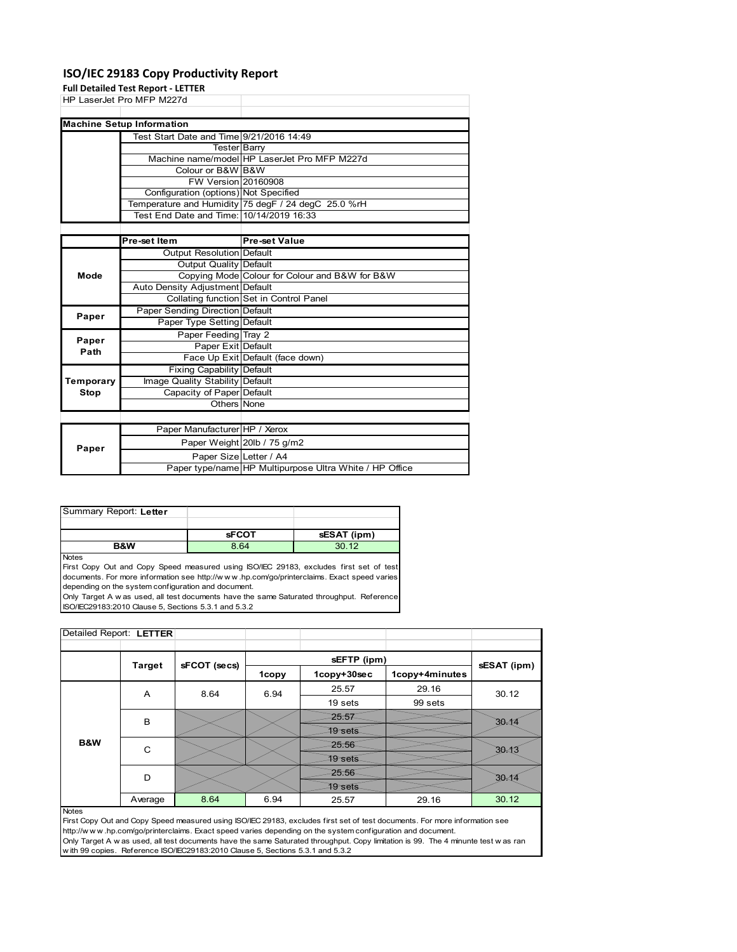### **ISO/IEC 29183 Copy Productivity Report**

**Full Detailed Test Report ‐ LETTER**

|           | rull Detailed Test Report - LETTER       |                                                         |
|-----------|------------------------------------------|---------------------------------------------------------|
|           | HP LaserJet Pro MFP M227d                |                                                         |
|           |                                          |                                                         |
|           | <b>Machine Setup Information</b>         |                                                         |
|           | Test Start Date and Time 9/21/2016 14:49 |                                                         |
|           | Tester Barry                             |                                                         |
|           |                                          | Machine name/model HP LaserJet Pro MFP M227d            |
|           | Colour or B&W B&W                        |                                                         |
|           | <b>FW Version 20160908</b>               |                                                         |
|           | Configuration (options) Not Specified    |                                                         |
|           |                                          | Temperature and Humidity 75 degF / 24 degC 25.0 %rH     |
|           | Test End Date and Time: 10/14/2019 16:33 |                                                         |
|           |                                          |                                                         |
|           | Pre-set Item                             | <b>Pre-set Value</b>                                    |
|           | <b>Output Resolution Default</b>         |                                                         |
|           | Output Quality Default                   |                                                         |
| Mode      |                                          | Copying Mode Colour for Colour and B&W for B&W          |
|           | Auto Density Adjustment Default          |                                                         |
|           |                                          | Collating function Set in Control Panel                 |
| Paper     | Paper Sending Direction Default          |                                                         |
|           | Paper Type Setting Default               |                                                         |
| Paper     | Paper Feeding Tray 2                     |                                                         |
| Path      | Paper Exit Default                       |                                                         |
|           |                                          | Face Up Exit Default (face down)                        |
|           | <b>Fixing Capability Default</b>         |                                                         |
| Temporary | Image Quality Stability Default          |                                                         |
| Stop      | Capacity of Paper Default                |                                                         |
|           | Others None                              |                                                         |
|           |                                          |                                                         |
|           | Paper Manufacturer HP / Xerox            |                                                         |
|           |                                          | Paper Weight 20lb / 75 g/m2                             |
| Paper     | Paper Size Letter / A4                   |                                                         |
|           |                                          | Paper type/name HP Multipurpose Ultra White / HP Office |

| Summary Report: Letter |              |             |
|------------------------|--------------|-------------|
|                        |              |             |
|                        | <b>SFCOT</b> | sESAT (ipm) |
| <b>B&amp;W</b>         | 8.64         | 3012        |

**Notes** 

First Copy Out and Copy Speed measured using ISO/IEC 29183, excludes first set of test documents. For more information see http://w w w .hp.com/go/printerclaims. Exact speed varies depending on the system configuration and document.

Only Target A w as used, all test documents have the same Saturated throughput. Reference ISO/IEC29183:2010 Clause 5, Sections 5.3.1 and 5.3.2

| Detailed Report: LETTER |               |              |       |                |                |             |  |
|-------------------------|---------------|--------------|-------|----------------|----------------|-------------|--|
|                         |               |              |       | sEFTP (ipm)    |                |             |  |
|                         | <b>Target</b> | sFCOT (secs) | 1copy | 1copy+30sec    | 1copy+4minutes | sESAT (ipm) |  |
|                         | A             | 8.64         | 6.94  | 25.57          | 29.16          | 30.12       |  |
|                         |               |              |       | 19 sets        | 99 sets        |             |  |
|                         | B             |              |       | 25.57          |                | $30 - 12$   |  |
|                         |               |              |       | <b>19 sets</b> |                |             |  |
| B&W                     | C             |              |       | 25.56          |                | $30 - 13$   |  |
|                         |               |              |       | 19 sets        |                |             |  |
|                         | D             |              |       | 25.56          |                | $30 - 12$   |  |
|                         |               |              |       | 19 sets        |                |             |  |
|                         | Average       | 8.64         | 6.94  | 25.57          | 29.16          | 30.12       |  |

Notes

First Copy Out and Copy Speed measured using ISO/IEC 29183, excludes first set of test documents. For more information see http://w w w .hp.com/go/printerclaims. Exact speed varies depending on the system configuration and document. Only Target A w as used, all test documents have the same Saturated throughput. Copy limitation is 99. The 4 minunte test w as ran w ith 99 copies. Reference ISO/IEC29183:2010 Clause 5, Sections 5.3.1 and 5.3.2